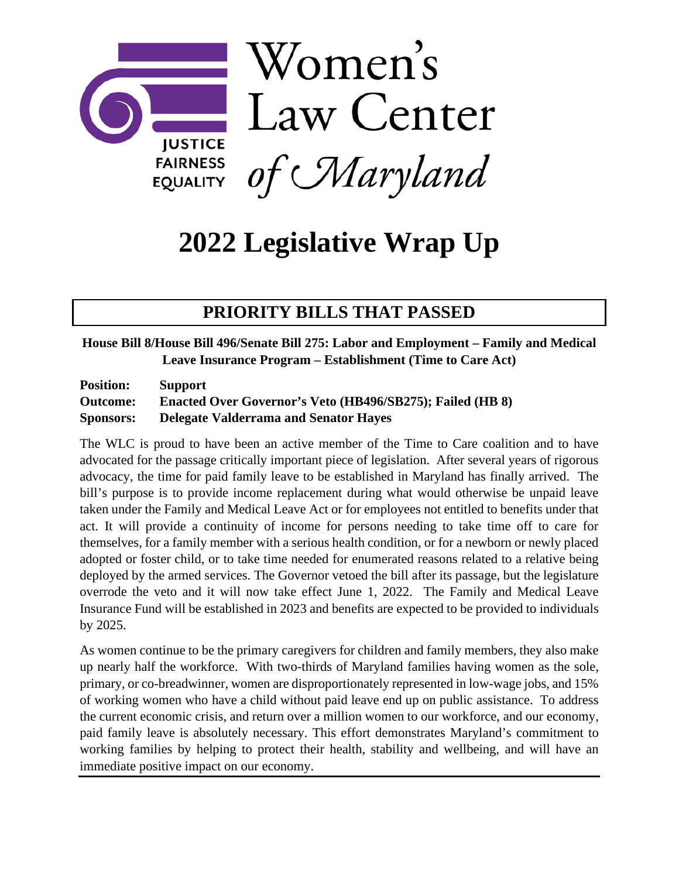

# **2022 Legislative Wrap Up**

# **PRIORITY BILLS THAT PASSED**

### **House Bill 8/House Bill 496/Senate Bill 275: Labor and Employment – Family and Medical Leave Insurance Program – Establishment (Time to Care Act)**

| <b>Position:</b> | <b>Support</b>                                            |
|------------------|-----------------------------------------------------------|
| <b>Outcome:</b>  | Enacted Over Governor's Veto (HB496/SB275); Failed (HB 8) |
| <b>Sponsors:</b> | <b>Delegate Valderrama and Senator Haves</b>              |

The WLC is proud to have been an active member of the Time to Care coalition and to have advocated for the passage critically important piece of legislation. After several years of rigorous advocacy, the time for paid family leave to be established in Maryland has finally arrived. The bill's purpose is to provide income replacement during what would otherwise be unpaid leave taken under the Family and Medical Leave Act or for employees not entitled to benefits under that act. It will provide a continuity of income for persons needing to take time off to care for themselves, for a family member with a serious health condition, or for a newborn or newly placed adopted or foster child, or to take time needed for enumerated reasons related to a relative being deployed by the armed services. The Governor vetoed the bill after its passage, but the legislature overrode the veto and it will now take effect June 1, 2022. The Family and Medical Leave Insurance Fund will be established in 2023 and benefits are expected to be provided to individuals by 2025.

As women continue to be the primary caregivers for children and family members, they also make up nearly half the workforce. With two-thirds of Maryland families having women as the sole, primary, or co-breadwinner, women are disproportionately represented in low-wage jobs, and 15% of working women who have a child without paid leave end up on public assistance. To address the current economic crisis, and return over a million women to our workforce, and our economy, paid family leave is absolutely necessary. This effort demonstrates Maryland's commitment to working families by helping to protect their health, stability and wellbeing, and will have an immediate positive impact on our economy.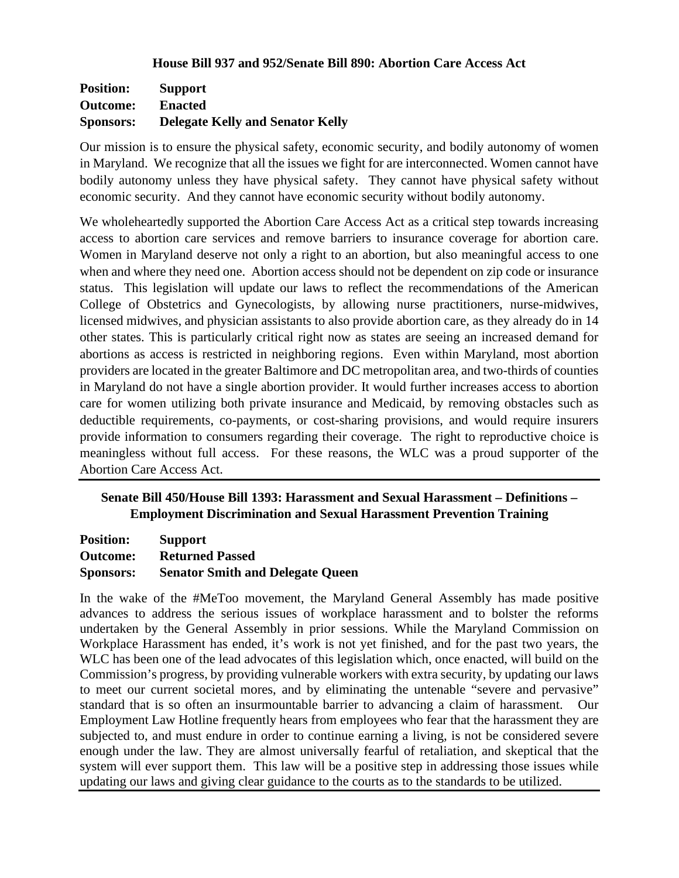#### **House Bill 937 and 952/Senate Bill 890: Abortion Care Access Act**

| <b>Position:</b> | <b>Support</b>                          |
|------------------|-----------------------------------------|
| <b>Outcome:</b>  | <b>Enacted</b>                          |
| <b>Sponsors:</b> | <b>Delegate Kelly and Senator Kelly</b> |

Our mission is to ensure the physical safety, economic security, and bodily autonomy of women in Maryland. We recognize that all the issues we fight for are interconnected. Women cannot have bodily autonomy unless they have physical safety. They cannot have physical safety without economic security. And they cannot have economic security without bodily autonomy.

We wholeheartedly supported the Abortion Care Access Act as a critical step towards increasing access to abortion care services and remove barriers to insurance coverage for abortion care. Women in Maryland deserve not only a right to an abortion, but also meaningful access to one when and where they need one. Abortion access should not be dependent on zip code or insurance status. This legislation will update our laws to reflect the recommendations of the American College of Obstetrics and Gynecologists, by allowing nurse practitioners, nurse-midwives, licensed midwives, and physician assistants to also provide abortion care, as they already do in 14 other states. This is particularly critical right now as states are seeing an increased demand for abortions as access is restricted in neighboring regions. Even within Maryland, most abortion providers are located in the greater Baltimore and DC metropolitan area, and two-thirds of counties in Maryland do not have a single abortion provider. It would further increases access to abortion care for women utilizing both private insurance and Medicaid, by removing obstacles such as deductible requirements, co-payments, or cost-sharing provisions, and would require insurers provide information to consumers regarding their coverage. The right to reproductive choice is meaningless without full access. For these reasons, the WLC was a proud supporter of the Abortion Care Access Act.

### **Senate Bill 450/House Bill 1393: Harassment and Sexual Harassment – Definitions – Employment Discrimination and Sexual Harassment Prevention Training**

| <b>Position:</b> | <b>Support</b>                          |
|------------------|-----------------------------------------|
| <b>Outcome:</b>  | <b>Returned Passed</b>                  |
| <b>Sponsors:</b> | <b>Senator Smith and Delegate Queen</b> |

In the wake of the #MeToo movement, the Maryland General Assembly has made positive advances to address the serious issues of workplace harassment and to bolster the reforms undertaken by the General Assembly in prior sessions. While the Maryland Commission on Workplace Harassment has ended, it's work is not yet finished, and for the past two years, the WLC has been one of the lead advocates of this legislation which, once enacted, will build on the Commission's progress, by providing vulnerable workers with extra security, by updating our laws to meet our current societal mores, and by eliminating the untenable "severe and pervasive" standard that is so often an insurmountable barrier to advancing a claim of harassment. Our Employment Law Hotline frequently hears from employees who fear that the harassment they are subjected to, and must endure in order to continue earning a living, is not be considered severe enough under the law. They are almost universally fearful of retaliation, and skeptical that the system will ever support them. This law will be a positive step in addressing those issues while updating our laws and giving clear guidance to the courts as to the standards to be utilized.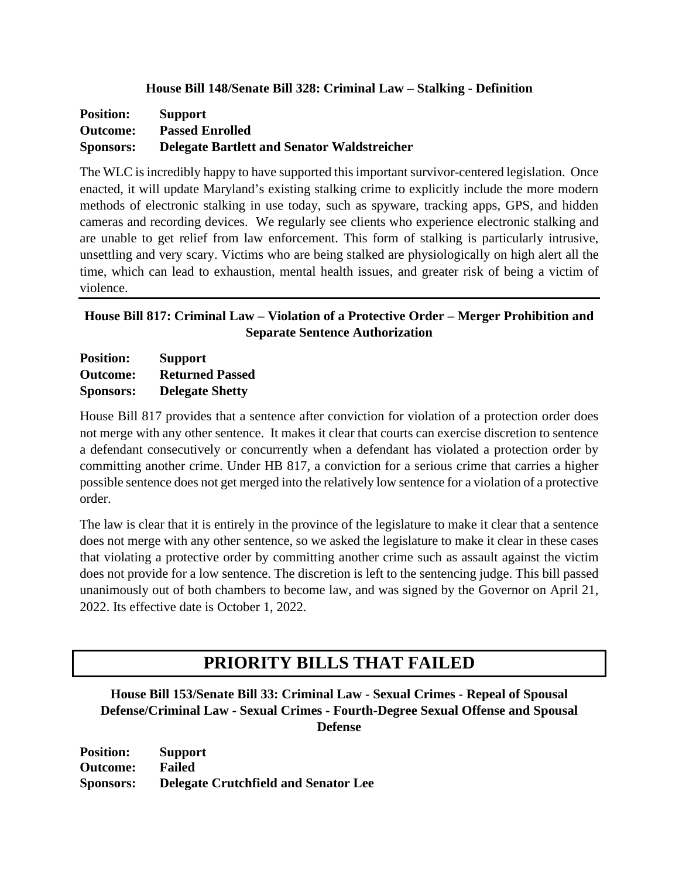### **House Bill 148/Senate Bill 328: Criminal Law – Stalking - Definition**

| <b>Position:</b> | <b>Support</b>                                     |
|------------------|----------------------------------------------------|
| <b>Outcome:</b>  | <b>Passed Enrolled</b>                             |
| <b>Sponsors:</b> | <b>Delegate Bartlett and Senator Waldstreicher</b> |

The WLC is incredibly happy to have supported this important survivor-centered legislation. Once enacted, it will update Maryland's existing stalking crime to explicitly include the more modern methods of electronic stalking in use today, such as spyware, tracking apps, GPS, and hidden cameras and recording devices. We regularly see clients who experience electronic stalking and are unable to get relief from law enforcement. This form of stalking is particularly intrusive, unsettling and very scary. Victims who are being stalked are physiologically on high alert all the time, which can lead to exhaustion, mental health issues, and greater risk of being a victim of violence.

### **House Bill 817: Criminal Law – Violation of a Protective Order – Merger Prohibition and Separate Sentence Authorization**

| <b>Position:</b> | <b>Support</b>         |
|------------------|------------------------|
| Outcome:         | <b>Returned Passed</b> |
| <b>Sponsors:</b> | <b>Delegate Shetty</b> |

House Bill 817 provides that a sentence after conviction for violation of a protection order does not merge with any other sentence. It makes it clear that courts can exercise discretion to sentence a defendant consecutively or concurrently when a defendant has violated a protection order by committing another crime. Under HB 817, a conviction for a serious crime that carries a higher possible sentence does not get merged into the relatively low sentence for a violation of a protective order.

The law is clear that it is entirely in the province of the legislature to make it clear that a sentence does not merge with any other sentence, so we asked the legislature to make it clear in these cases that violating a protective order by committing another crime such as assault against the victim does not provide for a low sentence. The discretion is left to the sentencing judge. This bill passed unanimously out of both chambers to become law, and was signed by the Governor on April 21, 2022. Its effective date is October 1, 2022.

# **PRIORITY BILLS THAT FAILED**

**House Bill 153/Senate Bill 33: Criminal Law - Sexual Crimes - Repeal of Spousal Defense/Criminal Law - Sexual Crimes - Fourth-Degree Sexual Offense and Spousal Defense**

**Position: Support Outcome: Failed Sponsors: Delegate Crutchfield and Senator Lee**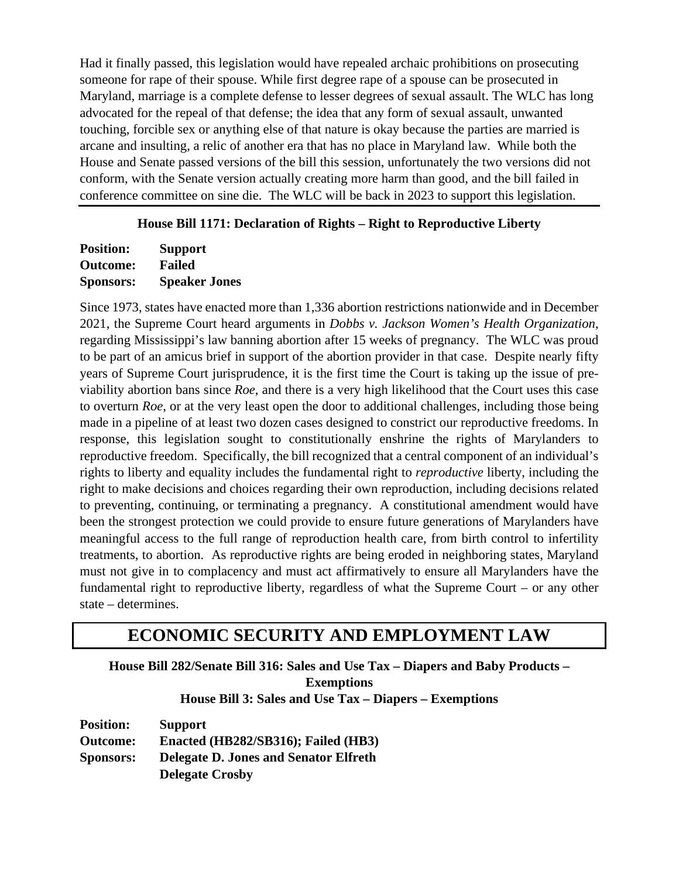Had it finally passed, this legislation would have repealed archaic prohibitions on prosecuting someone for rape of their spouse. While first degree rape of a spouse can be prosecuted in Maryland, marriage is a complete defense to lesser degrees of sexual assault. The WLC has long advocated for the repeal of that defense; the idea that any form of sexual assault, unwanted touching, forcible sex or anything else of that nature is okay because the parties are married is arcane and insulting, a relic of another era that has no place in Maryland law. While both the House and Senate passed versions of the bill this session, unfortunately the two versions did not conform, with the Senate version actually creating more harm than good, and the bill failed in conference committee on sine die. The WLC will be back in 2023 to support this legislation.

### **House Bill 1171: Declaration of Rights – Right to Reproductive Liberty**

| <b>Position:</b> | <b>Support</b>       |
|------------------|----------------------|
| <b>Outcome:</b>  | <b>Failed</b>        |
| <b>Sponsors:</b> | <b>Speaker Jones</b> |

Since 1973, states have enacted more than 1,336 abortion restrictions nationwide and in December 2021, the Supreme Court heard arguments in *Dobbs v. Jackson Women's Health Organization*, regarding Mississippi's law banning abortion after 15 weeks of pregnancy. The WLC was proud to be part of an amicus brief in support of the abortion provider in that case. Despite nearly fifty years of Supreme Court jurisprudence, it is the first time the Court is taking up the issue of previability abortion bans since *Roe*, and there is a very high likelihood that the Court uses this case to overturn *Roe*, or at the very least open the door to additional challenges, including those being made in a pipeline of at least two dozen cases designed to constrict our reproductive freedoms. In response, this legislation sought to constitutionally enshrine the rights of Marylanders to reproductive freedom. Specifically, the bill recognized that a central component of an individual's rights to liberty and equality includes the fundamental right to *reproductive* liberty, including the right to make decisions and choices regarding their own reproduction, including decisions related to preventing, continuing, or terminating a pregnancy. A constitutional amendment would have been the strongest protection we could provide to ensure future generations of Marylanders have meaningful access to the full range of reproduction health care, from birth control to infertility treatments, to abortion. As reproductive rights are being eroded in neighboring states, Maryland must not give in to complacency and must act affirmatively to ensure all Marylanders have the fundamental right to reproductive liberty, regardless of what the Supreme Court – or any other state – determines.

# **ECONOMIC SECURITY AND EMPLOYMENT LAW**

**House Bill 282/Senate Bill 316: Sales and Use Tax – Diapers and Baby Products – Exemptions House Bill 3: Sales and Use Tax – Diapers – Exemptions**

**Position: Support Outcome: Enacted (HB282/SB316); Failed (HB3) Sponsors: Delegate D. Jones and Senator Elfreth Delegate Crosby**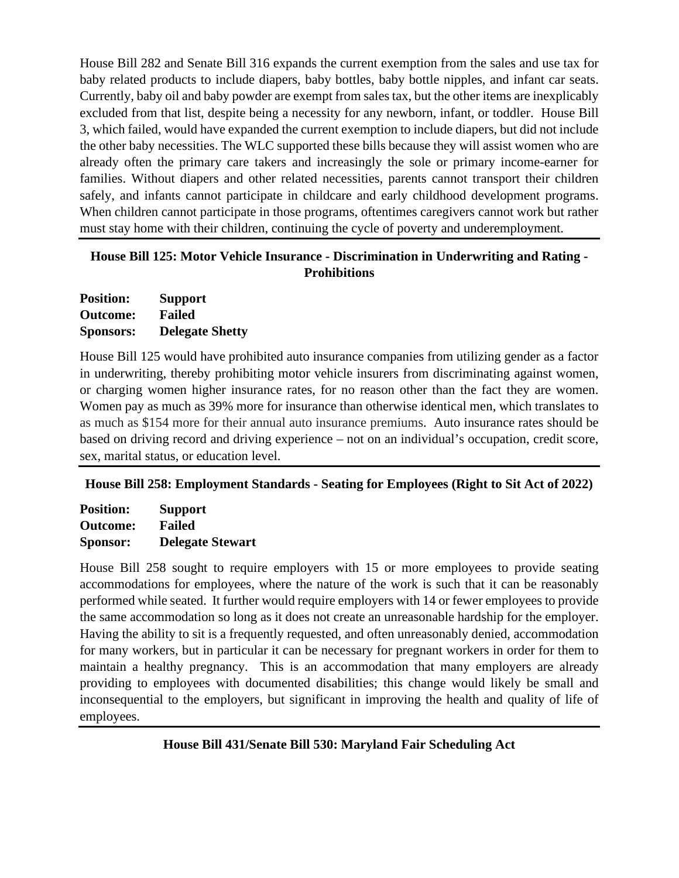House Bill 282 and Senate Bill 316 expands the current exemption from the sales and use tax for baby related products to include diapers, baby bottles, baby bottle nipples, and infant car seats. Currently, baby oil and baby powder are exempt from sales tax, but the other items are inexplicably excluded from that list, despite being a necessity for any newborn, infant, or toddler. House Bill 3, which failed, would have expanded the current exemption to include diapers, but did not include the other baby necessities. The WLC supported these bills because they will assist women who are already often the primary care takers and increasingly the sole or primary income-earner for families. Without diapers and other related necessities, parents cannot transport their children safely, and infants cannot participate in childcare and early childhood development programs. When children cannot participate in those programs, oftentimes caregivers cannot work but rather must stay home with their children, continuing the cycle of poverty and underemployment.

### **House Bill 125: Motor Vehicle Insurance - Discrimination in Underwriting and Rating - Prohibitions**

| <b>Position:</b> | <b>Support</b>         |
|------------------|------------------------|
| <b>Outcome:</b>  | <b>Failed</b>          |
| <b>Sponsors:</b> | <b>Delegate Shetty</b> |

House Bill 125 would have prohibited auto insurance companies from utilizing gender as a factor in underwriting, thereby prohibiting motor vehicle insurers from discriminating against women, or charging women higher insurance rates, for no reason other than the fact they are women. Women pay as much as 39% more for insurance than otherwise identical men, which translates to as much as \$154 more for their annual auto insurance premiums. Auto insurance rates should be based on driving record and driving experience – not on an individual's occupation, credit score, sex, marital status, or education level.

# **House Bill 258: Employment Standards - Seating for Employees (Right to Sit Act of 2022)**

**Position: Support Outcome: Failed Sponsor: Delegate Stewart**

House Bill 258 sought to require employers with 15 or more employees to provide seating accommodations for employees, where the nature of the work is such that it can be reasonably performed while seated. It further would require employers with 14 or fewer employees to provide the same accommodation so long as it does not create an unreasonable hardship for the employer. Having the ability to sit is a frequently requested, and often unreasonably denied, accommodation for many workers, but in particular it can be necessary for pregnant workers in order for them to maintain a healthy pregnancy. This is an accommodation that many employers are already providing to employees with documented disabilities; this change would likely be small and inconsequential to the employers, but significant in improving the health and quality of life of employees.

# **House Bill 431/Senate Bill 530: Maryland Fair Scheduling Act**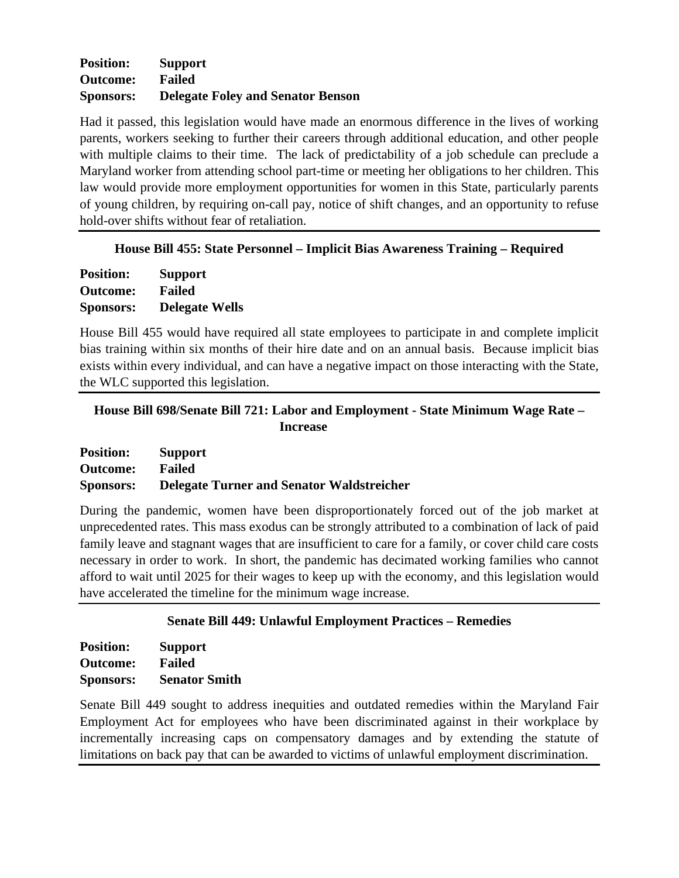### **Position: Support Outcome: Failed Sponsors: Delegate Foley and Senator Benson**

Had it passed, this legislation would have made an enormous difference in the lives of working parents, workers seeking to further their careers through additional education, and other people with multiple claims to their time. The lack of predictability of a job schedule can preclude a Maryland worker from attending school part-time or meeting her obligations to her children. This law would provide more employment opportunities for women in this State, particularly parents of young children, by requiring on-call pay, notice of shift changes, and an opportunity to refuse hold-over shifts without fear of retaliation.

### **House Bill 455: State Personnel – Implicit Bias Awareness Training – Required**

| <b>Position:</b> | <b>Support</b>        |
|------------------|-----------------------|
| <b>Outcome:</b>  | <b>Failed</b>         |
| <b>Sponsors:</b> | <b>Delegate Wells</b> |

House Bill 455 would have required all state employees to participate in and complete implicit bias training within six months of their hire date and on an annual basis. Because implicit bias exists within every individual, and can have a negative impact on those interacting with the State, the WLC supported this legislation.

### **House Bill 698/Senate Bill 721: Labor and Employment - State Minimum Wage Rate – Increase**

| <b>Position:</b> | <b>Support</b>                                   |
|------------------|--------------------------------------------------|
| <b>Outcome:</b>  | Failed                                           |
| <b>Sponsors:</b> | <b>Delegate Turner and Senator Waldstreicher</b> |

During the pandemic, women have been disproportionately forced out of the job market at unprecedented rates. This mass exodus can be strongly attributed to a combination of lack of paid family leave and stagnant wages that are insufficient to care for a family, or cover child care costs necessary in order to work. In short, the pandemic has decimated working families who cannot afford to wait until 2025 for their wages to keep up with the economy, and this legislation would have accelerated the timeline for the minimum wage increase.

### **Senate Bill 449: Unlawful Employment Practices – Remedies**

| <b>Position:</b> | <b>Support</b>       |
|------------------|----------------------|
| <b>Outcome:</b>  | Failed               |
| <b>Sponsors:</b> | <b>Senator Smith</b> |

Senate Bill 449 sought to address inequities and outdated remedies within the Maryland Fair Employment Act for employees who have been discriminated against in their workplace by incrementally increasing caps on compensatory damages and by extending the statute of limitations on back pay that can be awarded to victims of unlawful employment discrimination.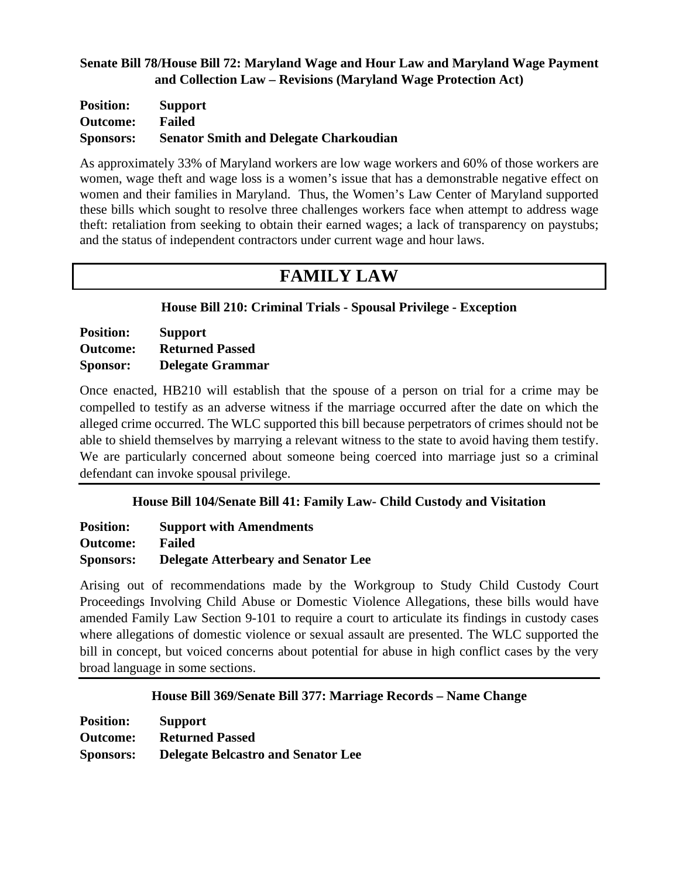### **Senate Bill 78/House Bill 72: Maryland Wage and Hour Law and Maryland Wage Payment and Collection Law – Revisions (Maryland Wage Protection Act)**

| <b>Position:</b> | <b>Support</b>                                |
|------------------|-----------------------------------------------|
| <b>Outcome:</b>  | <b>Failed</b>                                 |
| <b>Sponsors:</b> | <b>Senator Smith and Delegate Charkoudian</b> |

As approximately 33% of Maryland workers are low wage workers and 60% of those workers are women, wage theft and wage loss is a women's issue that has a demonstrable negative effect on women and their families in Maryland. Thus, the Women's Law Center of Maryland supported these bills which sought to resolve three challenges workers face when attempt to address wage theft: retaliation from seeking to obtain their earned wages; a lack of transparency on paystubs; and the status of independent contractors under current wage and hour laws.

# **FAMILY LAW**

**House Bill 210: Criminal Trials - Spousal Privilege - Exception**

| <b>Position:</b> | <b>Support</b>          |
|------------------|-------------------------|
| <b>Outcome:</b>  | <b>Returned Passed</b>  |
| Sponsor:         | <b>Delegate Grammar</b> |

Once enacted, HB210 will establish that the spouse of a person on trial for a crime may be compelled to testify as an adverse witness if the marriage occurred after the date on which the alleged crime occurred. The WLC supported this bill because perpetrators of crimes should not be able to shield themselves by marrying a relevant witness to the state to avoid having them testify. We are particularly concerned about someone being coerced into marriage just so a criminal defendant can invoke spousal privilege.

# **House Bill 104/Senate Bill 41: Family Law- Child Custody and Visitation**

| <b>Position:</b> | <b>Support with Amendments</b>             |
|------------------|--------------------------------------------|
| <b>Outcome:</b>  | Failed                                     |
| <b>Sponsors:</b> | <b>Delegate Atterbeary and Senator Lee</b> |

Arising out of recommendations made by the Workgroup to Study Child Custody Court Proceedings Involving Child Abuse or Domestic Violence Allegations, these bills would have amended Family Law Section 9-101 to require a court to articulate its findings in custody cases where allegations of domestic violence or sexual assault are presented. The WLC supported the bill in concept, but voiced concerns about potential for abuse in high conflict cases by the very broad language in some sections.

### **House Bill 369/Senate Bill 377: Marriage Records – Name Change**

| <b>Position:</b> | <b>Support</b>                            |
|------------------|-------------------------------------------|
| <b>Outcome:</b>  | <b>Returned Passed</b>                    |
| <b>Sponsors:</b> | <b>Delegate Belcastro and Senator Lee</b> |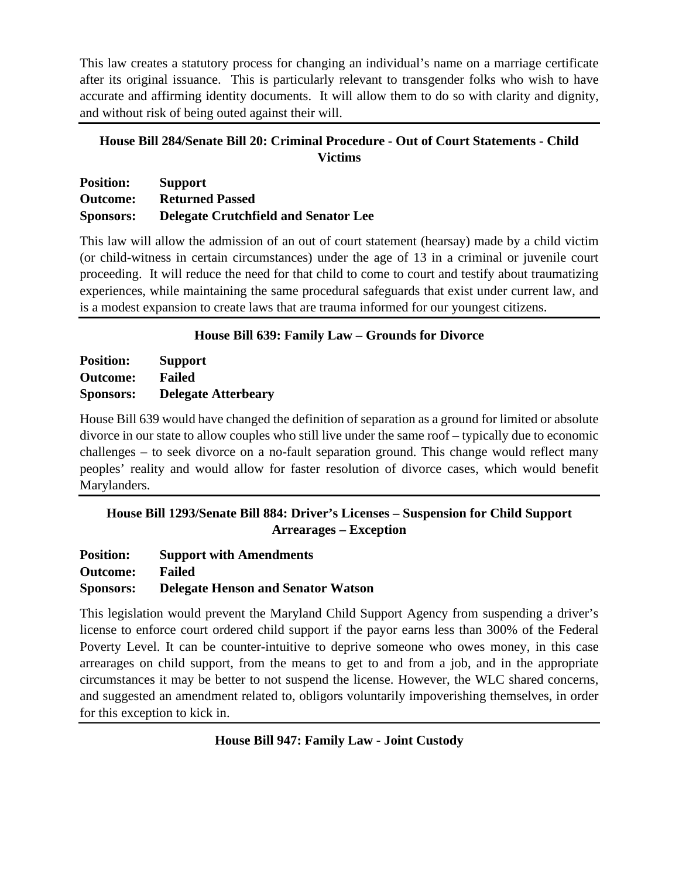This law creates a statutory process for changing an individual's name on a marriage certificate after its original issuance. This is particularly relevant to transgender folks who wish to have accurate and affirming identity documents. It will allow them to do so with clarity and dignity, and without risk of being outed against their will.

# **House Bill 284/Senate Bill 20: Criminal Procedure - Out of Court Statements - Child Victims**

| <b>Position:</b> | <b>Support</b>                              |
|------------------|---------------------------------------------|
| <b>Outcome:</b>  | <b>Returned Passed</b>                      |
| <b>Sponsors:</b> | <b>Delegate Crutchfield and Senator Lee</b> |

This law will allow the admission of an out of court statement (hearsay) made by a child victim (or child-witness in certain circumstances) under the age of 13 in a criminal or juvenile court proceeding. It will reduce the need for that child to come to court and testify about traumatizing experiences, while maintaining the same procedural safeguards that exist under current law, and is a modest expansion to create laws that are trauma informed for our youngest citizens.

# **House Bill 639: Family Law – Grounds for Divorce**

**Position: Support Outcome: Failed Sponsors: Delegate Atterbeary**

House Bill 639 would have changed the definition of separation as a ground for limited or absolute divorce in our state to allow couples who still live under the same roof – typically due to economic challenges – to seek divorce on a no-fault separation ground. This change would reflect many peoples' reality and would allow for faster resolution of divorce cases, which would benefit Marylanders.

# **House Bill 1293/Senate Bill 884: Driver's Licenses – Suspension for Child Support Arrearages – Exception**

| <b>Position:</b> | <b>Support with Amendments</b>            |
|------------------|-------------------------------------------|
| <b>Outcome:</b>  | Failed                                    |
| <b>Sponsors:</b> | <b>Delegate Henson and Senator Watson</b> |

This legislation would prevent the Maryland Child Support Agency from suspending a driver's license to enforce court ordered child support if the payor earns less than 300% of the Federal Poverty Level. It can be counter-intuitive to deprive someone who owes money, in this case arrearages on child support, from the means to get to and from a job, and in the appropriate circumstances it may be better to not suspend the license. However, the WLC shared concerns, and suggested an amendment related to, obligors voluntarily impoverishing themselves, in order for this exception to kick in.

# **House Bill 947: Family Law - Joint Custody**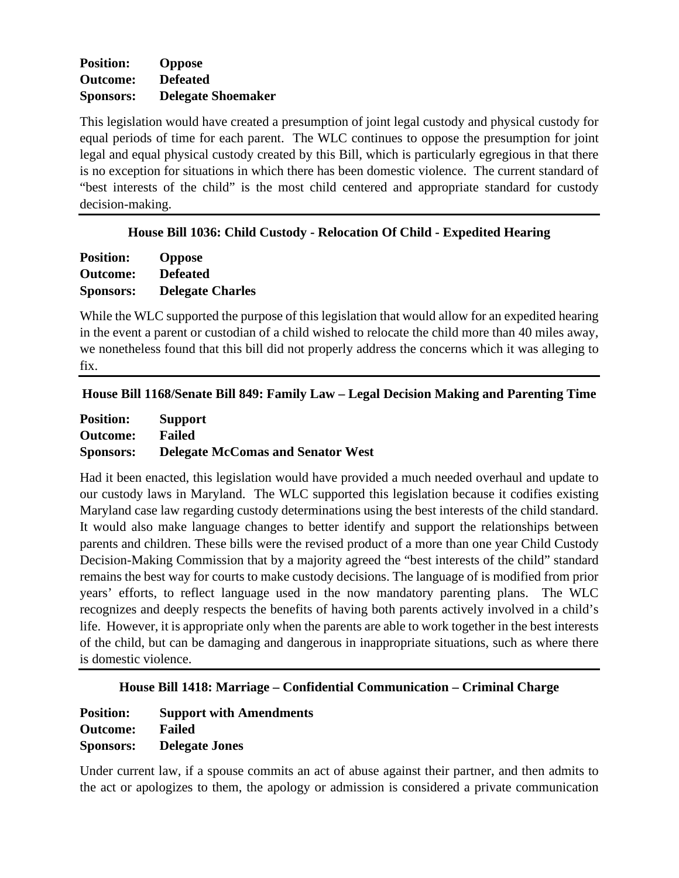### **Position: Oppose Outcome: Defeated Sponsors: Delegate Shoemaker**

This legislation would have created a presumption of joint legal custody and physical custody for equal periods of time for each parent. The WLC continues to oppose the presumption for joint legal and equal physical custody created by this Bill, which is particularly egregious in that there is no exception for situations in which there has been domestic violence. The current standard of "best interests of the child" is the most child centered and appropriate standard for custody decision-making.

### **House Bill 1036: Child Custody - Relocation Of Child - Expedited Hearing**

| <b>Position:</b> | <b>Oppose</b>           |
|------------------|-------------------------|
| <b>Outcome:</b>  | <b>Defeated</b>         |
| <b>Sponsors:</b> | <b>Delegate Charles</b> |

While the WLC supported the purpose of this legislation that would allow for an expedited hearing in the event a parent or custodian of a child wished to relocate the child more than 40 miles away, we nonetheless found that this bill did not properly address the concerns which it was alleging to fix.

| House Bill 1168/Senate Bill 849: Family Law - Legal Decision Making and Parenting Time |  |  |  |  |
|----------------------------------------------------------------------------------------|--|--|--|--|
|----------------------------------------------------------------------------------------|--|--|--|--|

| <b>Position:</b> | <b>Support</b>                           |
|------------------|------------------------------------------|
| <b>Outcome:</b>  | Failed                                   |
| <b>Sponsors:</b> | <b>Delegate McComas and Senator West</b> |

Had it been enacted, this legislation would have provided a much needed overhaul and update to our custody laws in Maryland. The WLC supported this legislation because it codifies existing Maryland case law regarding custody determinations using the best interests of the child standard. It would also make language changes to better identify and support the relationships between parents and children. These bills were the revised product of a more than one year Child Custody Decision-Making Commission that by a majority agreed the "best interests of the child" standard remains the best way for courts to make custody decisions. The language of is modified from prior years' efforts, to reflect language used in the now mandatory parenting plans. The WLC recognizes and deeply respects the benefits of having both parents actively involved in a child's life. However, it is appropriate only when the parents are able to work together in the best interests of the child, but can be damaging and dangerous in inappropriate situations, such as where there is domestic violence.

### **House Bill 1418: Marriage – Confidential Communication – Criminal Charge**

| <b>Position:</b> | <b>Support with Amendments</b> |
|------------------|--------------------------------|
| <b>Outcome:</b>  | <b>Failed</b>                  |
| <b>Sponsors:</b> | <b>Delegate Jones</b>          |

Under current law, if a spouse commits an act of abuse against their partner, and then admits to the act or apologizes to them, the apology or admission is considered a private communication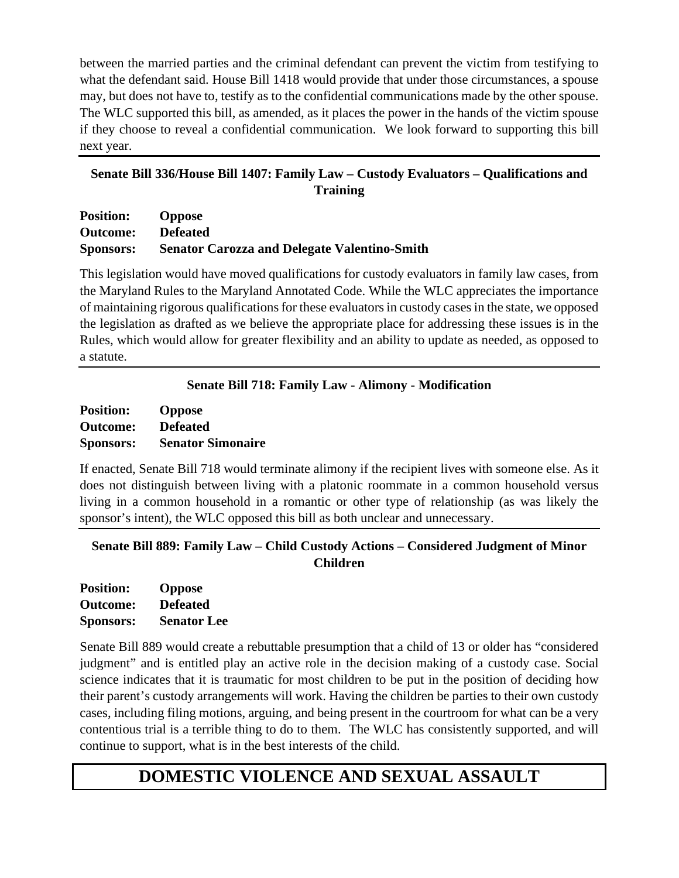between the married parties and the criminal defendant can prevent the victim from testifying to what the defendant said. House Bill 1418 would provide that under those circumstances, a spouse may, but does not have to, testify as to the confidential communications made by the other spouse. The WLC supported this bill, as amended, as it places the power in the hands of the victim spouse if they choose to reveal a confidential communication. We look forward to supporting this bill next year.

# **Senate Bill 336/House Bill 1407: Family Law – Custody Evaluators – Qualifications and Training**

| <b>Position:</b> | <b>Oppose</b>                                       |
|------------------|-----------------------------------------------------|
| <b>Outcome:</b>  | <b>Defeated</b>                                     |
| <b>Sponsors:</b> | <b>Senator Carozza and Delegate Valentino-Smith</b> |

This legislation would have moved qualifications for custody evaluators in family law cases, from the Maryland Rules to the Maryland Annotated Code. While the WLC appreciates the importance of maintaining rigorous qualifications for these evaluators in custody cases in the state, we opposed the legislation as drafted as we believe the appropriate place for addressing these issues is in the Rules, which would allow for greater flexibility and an ability to update as needed, as opposed to a statute.

# **Senate Bill 718: Family Law - Alimony - Modification**

| <b>Position:</b> | <b>Oppose</b>            |
|------------------|--------------------------|
| <b>Outcome:</b>  | <b>Defeated</b>          |
| <b>Sponsors:</b> | <b>Senator Simonaire</b> |

If enacted, Senate Bill 718 would terminate alimony if the recipient lives with someone else. As it does not distinguish between living with a platonic roommate in a common household versus living in a common household in a romantic or other type of relationship (as was likely the sponsor's intent), the WLC opposed this bill as both unclear and unnecessary.

**Senate Bill 889: Family Law – Child Custody Actions – Considered Judgment of Minor Children**

| <b>Position:</b> | <b>Oppose</b>      |
|------------------|--------------------|
| <b>Outcome:</b>  | <b>Defeated</b>    |
| <b>Sponsors:</b> | <b>Senator Lee</b> |

Senate Bill 889 would create a rebuttable presumption that a child of 13 or older has "considered judgment" and is entitled play an active role in the decision making of a custody case. Social science indicates that it is traumatic for most children to be put in the position of deciding how their parent's custody arrangements will work. Having the children be parties to their own custody cases, including filing motions, arguing, and being present in the courtroom for what can be a very contentious trial is a terrible thing to do to them. The WLC has consistently supported, and will continue to support, what is in the best interests of the child.

# **DOMESTIC VIOLENCE AND SEXUAL ASSAULT**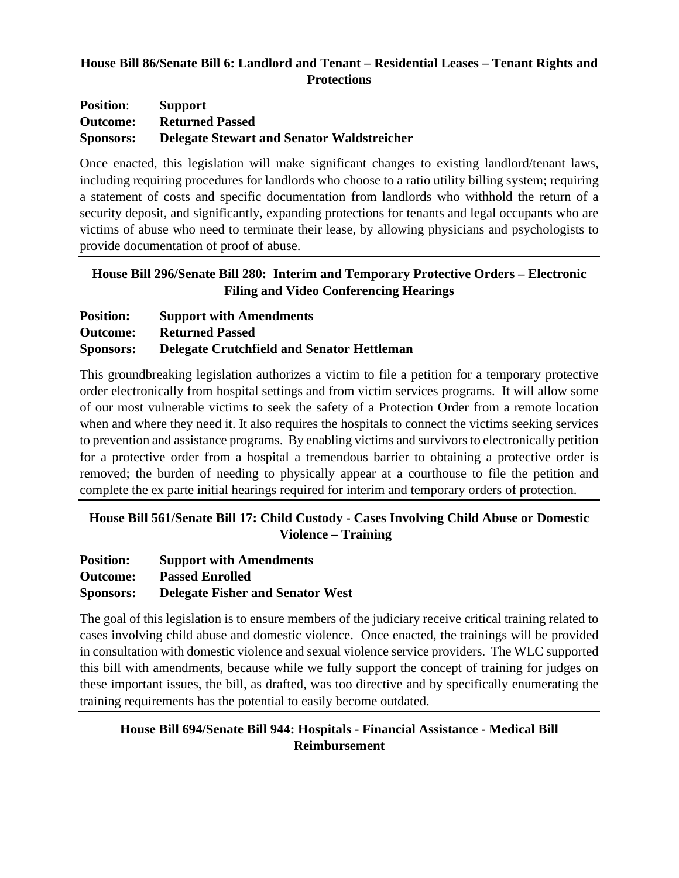### **House Bill 86/Senate Bill 6: Landlord and Tenant – Residential Leases – Tenant Rights and Protections**

| <b>Position:</b> | <b>Support</b>                                    |
|------------------|---------------------------------------------------|
| <b>Outcome:</b>  | <b>Returned Passed</b>                            |
| <b>Sponsors:</b> | <b>Delegate Stewart and Senator Waldstreicher</b> |

Once enacted, this legislation will make significant changes to existing landlord/tenant laws, including requiring procedures for landlords who choose to a ratio utility billing system; requiring a statement of costs and specific documentation from landlords who withhold the return of a security deposit, and significantly, expanding protections for tenants and legal occupants who are victims of abuse who need to terminate their lease, by allowing physicians and psychologists to provide documentation of proof of abuse.

### **House Bill 296/Senate Bill 280: Interim and Temporary Protective Orders – Electronic Filing and Video Conferencing Hearings**

| <b>Position:</b> | <b>Support with Amendments</b>                    |
|------------------|---------------------------------------------------|
| <b>Outcome:</b>  | <b>Returned Passed</b>                            |
| <b>Sponsors:</b> | <b>Delegate Crutchfield and Senator Hettleman</b> |

This groundbreaking legislation authorizes a victim to file a petition for a temporary protective order electronically from hospital settings and from victim services programs. It will allow some of our most vulnerable victims to seek the safety of a Protection Order from a remote location when and where they need it. It also requires the hospitals to connect the victims seeking services to prevention and assistance programs. By enabling victims and survivors to electronically petition for a protective order from a hospital a tremendous barrier to obtaining a protective order is removed; the burden of needing to physically appear at a courthouse to file the petition and complete the ex parte initial hearings required for interim and temporary orders of protection.

# **House Bill 561/Senate Bill 17: Child Custody - Cases Involving Child Abuse or Domestic Violence – Training**

| <b>Position:</b> | <b>Support with Amendments</b>          |
|------------------|-----------------------------------------|
| <b>Outcome:</b>  | <b>Passed Enrolled</b>                  |
| <b>Sponsors:</b> | <b>Delegate Fisher and Senator West</b> |

The goal of this legislation is to ensure members of the judiciary receive critical training related to cases involving child abuse and domestic violence. Once enacted, the trainings will be provided in consultation with domestic violence and sexual violence service providers. The WLC supported this bill with amendments, because while we fully support the concept of training for judges on these important issues, the bill, as drafted, was too directive and by specifically enumerating the training requirements has the potential to easily become outdated.

### **House Bill 694/Senate Bill 944: Hospitals - Financial Assistance - Medical Bill Reimbursement**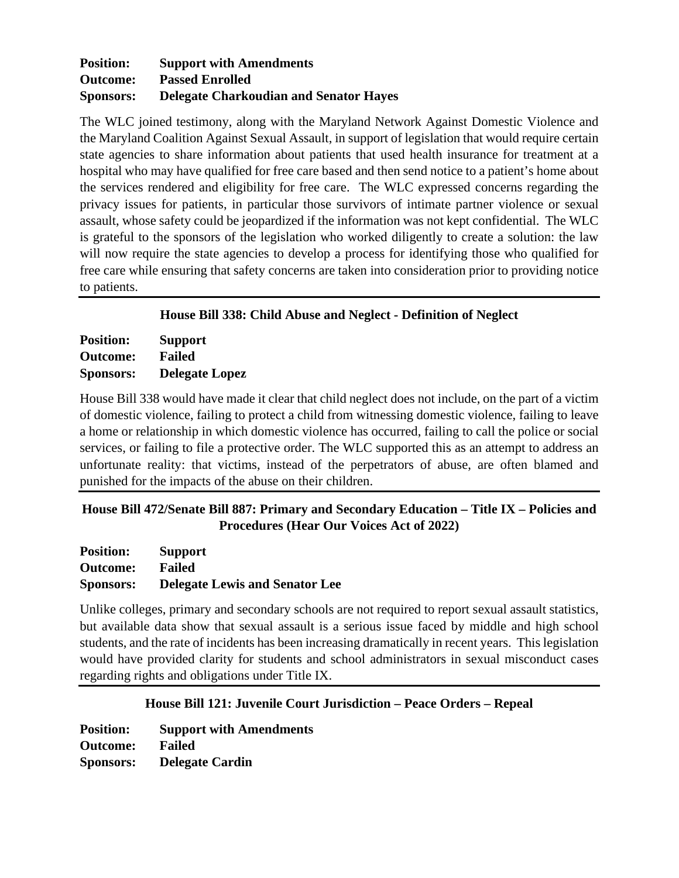### **Position: Support with Amendments Outcome: Passed Enrolled Sponsors: Delegate Charkoudian and Senator Hayes**

The WLC joined testimony, along with the Maryland Network Against Domestic Violence and the Maryland Coalition Against Sexual Assault, in support of legislation that would require certain state agencies to share information about patients that used health insurance for treatment at a hospital who may have qualified for free care based and then send notice to a patient's home about the services rendered and eligibility for free care. The WLC expressed concerns regarding the privacy issues for patients, in particular those survivors of intimate partner violence or sexual assault, whose safety could be jeopardized if the information was not kept confidential. The WLC is grateful to the sponsors of the legislation who worked diligently to create a solution: the law will now require the state agencies to develop a process for identifying those who qualified for free care while ensuring that safety concerns are taken into consideration prior to providing notice to patients.

### **House Bill 338: Child Abuse and Neglect - Definition of Neglect**

| <b>Position:</b> | <b>Support</b>        |
|------------------|-----------------------|
| <b>Outcome:</b>  | <b>Failed</b>         |
| <b>Sponsors:</b> | <b>Delegate Lopez</b> |

House Bill 338 would have made it clear that child neglect does not include, on the part of a victim of domestic violence, failing to protect a child from witnessing domestic violence, failing to leave a home or relationship in which domestic violence has occurred, failing to call the police or social services, or failing to file a protective order. The WLC supported this as an attempt to address an unfortunate reality: that victims, instead of the perpetrators of abuse, are often blamed and punished for the impacts of the abuse on their children.

# **House Bill 472/Senate Bill 887: Primary and Secondary Education – Title IX – Policies and Procedures (Hear Our Voices Act of 2022)**

| <b>Position:</b> | <b>Support</b>                        |
|------------------|---------------------------------------|
| <b>Outcome:</b>  | <b>Failed</b>                         |
| <b>Sponsors:</b> | <b>Delegate Lewis and Senator Lee</b> |

Unlike colleges, primary and secondary schools are not required to report sexual assault statistics, but available data show that sexual assault is a serious issue faced by middle and high school students, and the rate of incidents has been increasing dramatically in recent years. This legislation would have provided clarity for students and school administrators in sexual misconduct cases regarding rights and obligations under Title IX.

### **House Bill 121: Juvenile Court Jurisdiction – Peace Orders – Repeal**

**Position: Support with Amendments Outcome: Failed Sponsors: Delegate Cardin**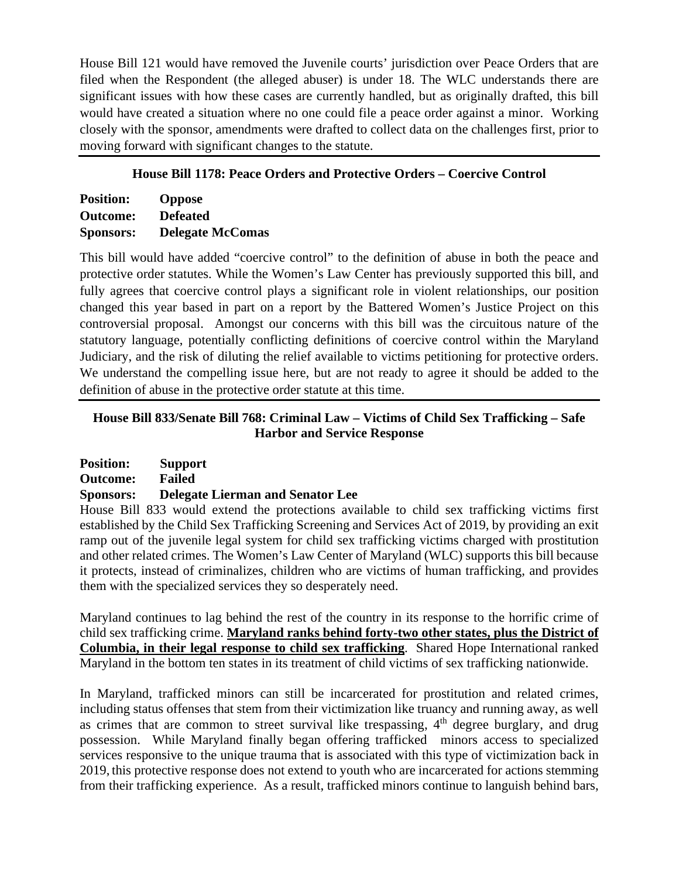House Bill 121 would have removed the Juvenile courts' jurisdiction over Peace Orders that are filed when the Respondent (the alleged abuser) is under 18. The WLC understands there are significant issues with how these cases are currently handled, but as originally drafted, this bill would have created a situation where no one could file a peace order against a minor. Working closely with the sponsor, amendments were drafted to collect data on the challenges first, prior to moving forward with significant changes to the statute.

### **House Bill 1178: Peace Orders and Protective Orders – Coercive Control**

| <b>Position:</b> | <b>Oppose</b>           |
|------------------|-------------------------|
| <b>Outcome:</b>  | <b>Defeated</b>         |
| <b>Sponsors:</b> | <b>Delegate McComas</b> |

This bill would have added "coercive control" to the definition of abuse in both the peace and protective order statutes. While the Women's Law Center has previously supported this bill, and fully agrees that coercive control plays a significant role in violent relationships, our position changed this year based in part on a report by the Battered Women's Justice Project on this controversial proposal. Amongst our concerns with this bill was the circuitous nature of the statutory language, potentially conflicting definitions of coercive control within the Maryland Judiciary, and the risk of diluting the relief available to victims petitioning for protective orders. We understand the compelling issue here, but are not ready to agree it should be added to the definition of abuse in the protective order statute at this time.

### **House Bill 833/Senate Bill 768: Criminal Law – Victims of Child Sex Trafficking – Safe Harbor and Service Response**

| <b>Position:</b> | <b>Support</b>                          |
|------------------|-----------------------------------------|
| <b>Outcome:</b>  | Failed                                  |
| <b>Sponsors:</b> | <b>Delegate Lierman and Senator Lee</b> |

House Bill 833 would extend the protections available to child sex trafficking victims first established by the Child Sex Trafficking Screening and Services Act of 2019, by providing an exit ramp out of the juvenile legal system for child sex trafficking victims charged with prostitution and other related crimes. The Women's Law Center of Maryland (WLC) supports this bill because it protects, instead of criminalizes, children who are victims of human trafficking, and provides them with the specialized services they so desperately need.

Maryland continues to lag behind the rest of the country in its response to the horrific crime of child sex trafficking crime. **Maryland ranks behind forty-two other states, plus the District of Columbia, in their legal response to child sex trafficking**. Shared Hope International ranked Maryland in the bottom ten states in its treatment of child victims of sex trafficking nationwide.

In Maryland, trafficked minors can still be incarcerated for prostitution and related crimes, including status offenses that stem from their victimization like truancy and running away, as well as crimes that are common to street survival like trespassing,  $4<sup>th</sup>$  degree burglary, and drug possession. While Maryland finally began offering trafficked minors access to specialized services responsive to the unique trauma that is associated with this type of victimization back in 2019, this protective response does not extend to youth who are incarcerated for actions stemming from their trafficking experience. As a result, trafficked minors continue to languish behind bars,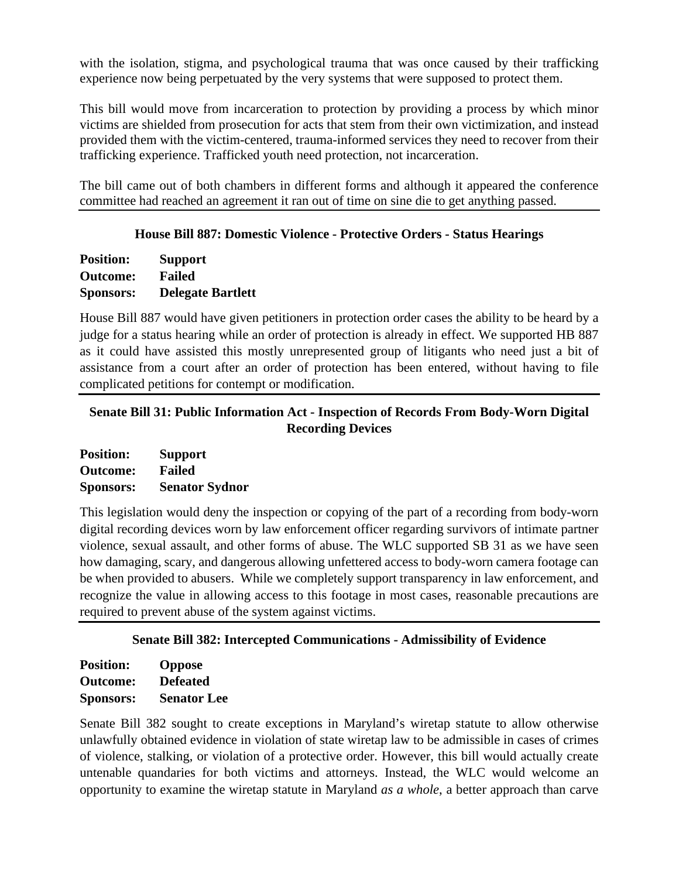with the isolation, stigma, and psychological trauma that was once caused by their trafficking experience now being perpetuated by the very systems that were supposed to protect them.

This bill would move from incarceration to protection by providing a process by which minor victims are shielded from prosecution for acts that stem from their own victimization, and instead provided them with the victim-centered, trauma-informed services they need to recover from their trafficking experience. Trafficked youth need protection, not incarceration.

The bill came out of both chambers in different forms and although it appeared the conference committee had reached an agreement it ran out of time on sine die to get anything passed.

### **House Bill 887: Domestic Violence - Protective Orders - Status Hearings**

**Position: Support Outcome: Failed Sponsors: Delegate Bartlett**

House Bill 887 would have given petitioners in protection order cases the ability to be heard by a judge for a status hearing while an order of protection is already in effect. We supported HB 887 as it could have assisted this mostly unrepresented group of litigants who need just a bit of assistance from a court after an order of protection has been entered, without having to file complicated petitions for contempt or modification.

### **Senate Bill 31: Public Information Act - Inspection of Records From Body-Worn Digital Recording Devices**

**Position: Support Outcome: Failed Sponsors: Senator Sydnor**

This legislation would deny the inspection or copying of the part of a recording from body-worn digital recording devices worn by law enforcement officer regarding survivors of intimate partner violence, sexual assault, and other forms of abuse. The WLC supported SB 31 as we have seen how damaging, scary, and dangerous allowing unfettered access to body-worn camera footage can be when provided to abusers. While we completely support transparency in law enforcement, and recognize the value in allowing access to this footage in most cases, reasonable precautions are required to prevent abuse of the system against victims.

# **Senate Bill 382: Intercepted Communications - Admissibility of Evidence**

| <b>Position:</b> | <b>Oppose</b>      |
|------------------|--------------------|
| <b>Outcome:</b>  | <b>Defeated</b>    |
| <b>Sponsors:</b> | <b>Senator Lee</b> |

Senate Bill 382 sought to create exceptions in Maryland's wiretap statute to allow otherwise unlawfully obtained evidence in violation of state wiretap law to be admissible in cases of crimes of violence, stalking, or violation of a protective order. However, this bill would actually create untenable quandaries for both victims and attorneys. Instead, the WLC would welcome an opportunity to examine the wiretap statute in Maryland *as a whole*, a better approach than carve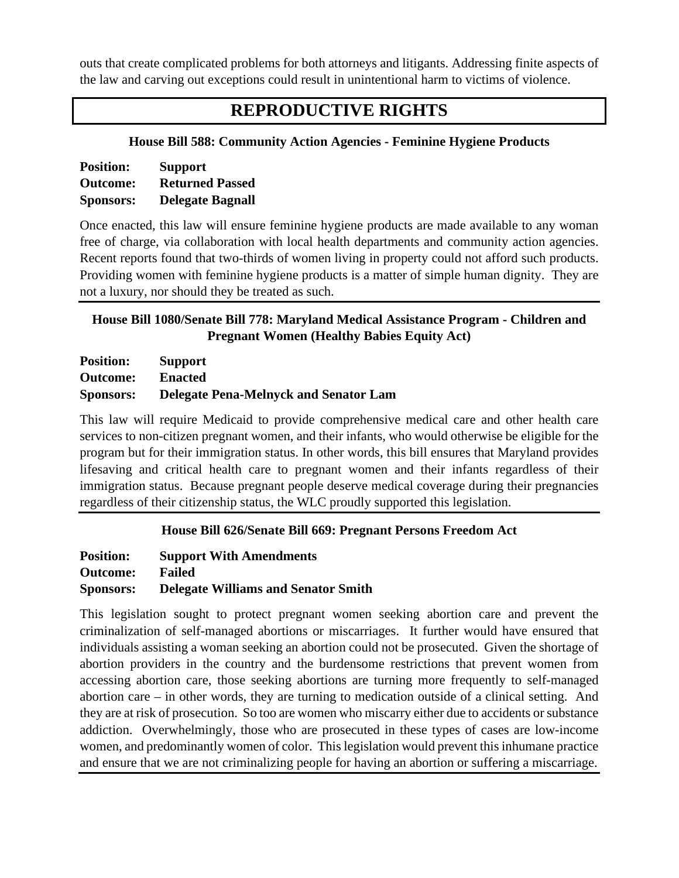outs that create complicated problems for both attorneys and litigants. Addressing finite aspects of the law and carving out exceptions could result in unintentional harm to victims of violence.

# **REPRODUCTIVE RIGHTS**

### **House Bill 588: Community Action Agencies - Feminine Hygiene Products**

| <b>Position:</b> | <b>Support</b>          |
|------------------|-------------------------|
| <b>Outcome:</b>  | <b>Returned Passed</b>  |
| <b>Sponsors:</b> | <b>Delegate Bagnall</b> |

Once enacted, this law will ensure feminine hygiene products are made available to any woman free of charge, via collaboration with local health departments and community action agencies. Recent reports found that two-thirds of women living in property could not afford such products. Providing women with feminine hygiene products is a matter of simple human dignity. They are not a luxury, nor should they be treated as such.

# **House Bill 1080/Senate Bill 778: Maryland Medical Assistance Program - Children and Pregnant Women (Healthy Babies Equity Act)**

| <b>Position:</b> | Support                                      |
|------------------|----------------------------------------------|
| <b>Outcome:</b>  | <b>Enacted</b>                               |
| <b>Sponsors:</b> | <b>Delegate Pena-Melnyck and Senator Lam</b> |

This law will require Medicaid to provide comprehensive medical care and other health care services to non-citizen pregnant women, and their infants, who would otherwise be eligible for the program but for their immigration status. In other words, this bill ensures that Maryland provides lifesaving and critical health care to pregnant women and their infants regardless of their immigration status. Because pregnant people deserve medical coverage during their pregnancies regardless of their citizenship status, the WLC proudly supported this legislation.

# **House Bill 626/Senate Bill 669: Pregnant Persons Freedom Act**

| <b>Position:</b> | <b>Support With Amendments</b>             |
|------------------|--------------------------------------------|
| <b>Outcome:</b>  | <b>Failed</b>                              |
| <b>Sponsors:</b> | <b>Delegate Williams and Senator Smith</b> |

This legislation sought to protect pregnant women seeking abortion care and prevent the criminalization of self-managed abortions or miscarriages. It further would have ensured that individuals assisting a woman seeking an abortion could not be prosecuted. Given the shortage of abortion providers in the country and the burdensome restrictions that prevent women from accessing abortion care, those seeking abortions are turning more frequently to self-managed abortion care – in other words, they are turning to medication outside of a clinical setting. And they are at risk of prosecution. So too are women who miscarry either due to accidents or substance addiction. Overwhelmingly, those who are prosecuted in these types of cases are low-income women, and predominantly women of color. This legislation would prevent this inhumane practice and ensure that we are not criminalizing people for having an abortion or suffering a miscarriage.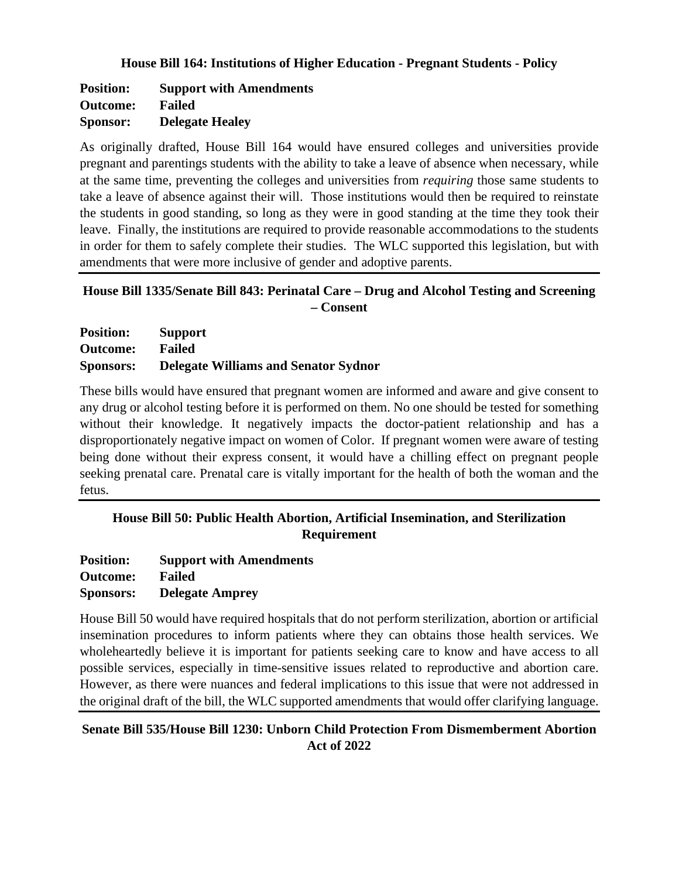#### **House Bill 164: Institutions of Higher Education - Pregnant Students - Policy**

**Position: Support with Amendments Outcome: Failed Sponsor: Delegate Healey**

As originally drafted, House Bill 164 would have ensured colleges and universities provide pregnant and parentings students with the ability to take a leave of absence when necessary, while at the same time, preventing the colleges and universities from *requiring* those same students to take a leave of absence against their will. Those institutions would then be required to reinstate the students in good standing, so long as they were in good standing at the time they took their leave. Finally, the institutions are required to provide reasonable accommodations to the students in order for them to safely complete their studies. The WLC supported this legislation, but with amendments that were more inclusive of gender and adoptive parents.

# **House Bill 1335/Senate Bill 843: Perinatal Care – Drug and Alcohol Testing and Screening – Consent**

| <b>Position:</b> | <b>Support</b>                              |
|------------------|---------------------------------------------|
| <b>Outcome:</b>  | <b>Failed</b>                               |
| <b>Sponsors:</b> | <b>Delegate Williams and Senator Sydnor</b> |

These bills would have ensured that pregnant women are informed and aware and give consent to any drug or alcohol testing before it is performed on them. No one should be tested for something without their knowledge. It negatively impacts the doctor-patient relationship and has a disproportionately negative impact on women of Color. If pregnant women were aware of testing being done without their express consent, it would have a chilling effect on pregnant people seeking prenatal care. Prenatal care is vitally important for the health of both the woman and the fetus.

# **House Bill 50: Public Health Abortion, Artificial Insemination, and Sterilization Requirement**

**Position: Support with Amendments Outcome: Failed Sponsors: Delegate Amprey**

House Bill 50 would have required hospitals that do not perform sterilization, abortion or artificial insemination procedures to inform patients where they can obtains those health services. We wholeheartedly believe it is important for patients seeking care to know and have access to all possible services, especially in time-sensitive issues related to reproductive and abortion care. However, as there were nuances and federal implications to this issue that were not addressed in the original draft of the bill, the WLC supported amendments that would offer clarifying language.

### **Senate Bill 535/House Bill 1230: Unborn Child Protection From Dismemberment Abortion Act of 2022**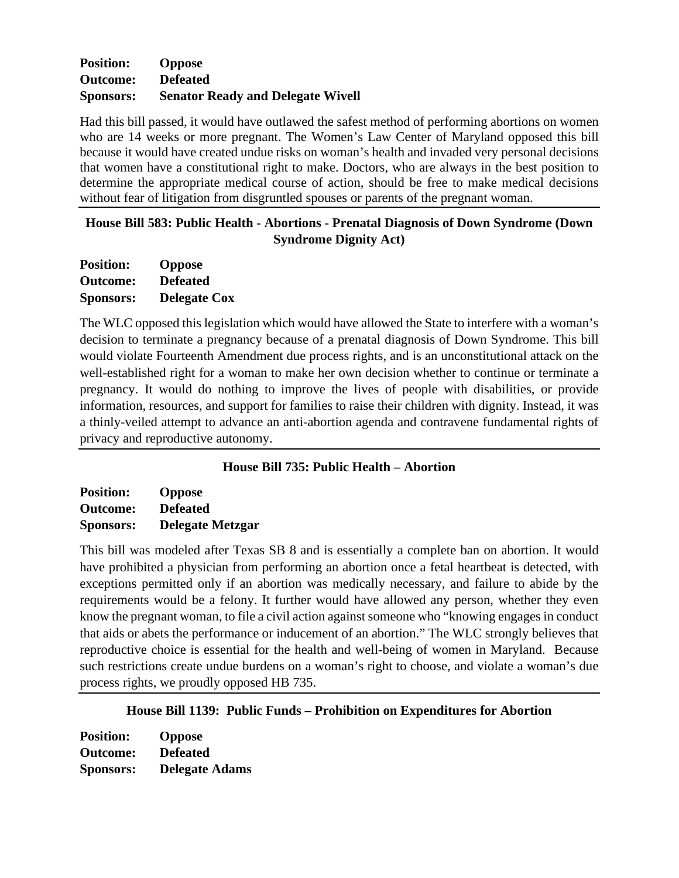### **Position: Oppose Outcome: Defeated Sponsors: Senator Ready and Delegate Wivell**

Had this bill passed, it would have outlawed the safest method of performing abortions on women who are 14 weeks or more pregnant. The Women's Law Center of Maryland opposed this bill because it would have created undue risks on woman's health and invaded very personal decisions that women have a constitutional right to make. Doctors, who are always in the best position to determine the appropriate medical course of action, should be free to make medical decisions without fear of litigation from disgruntled spouses or parents of the pregnant woman.

### **House Bill 583: Public Health - Abortions - Prenatal Diagnosis of Down Syndrome (Down Syndrome Dignity Act)**

| <b>Position:</b> | <b>Oppose</b>       |
|------------------|---------------------|
| <b>Outcome:</b>  | <b>Defeated</b>     |
| <b>Sponsors:</b> | <b>Delegate Cox</b> |

The WLC opposed this legislation which would have allowed the State to interfere with a woman's decision to terminate a pregnancy because of a prenatal diagnosis of Down Syndrome. This bill would violate Fourteenth Amendment due process rights, and is an unconstitutional attack on the well-established right for a woman to make her own decision whether to continue or terminate a pregnancy. It would do nothing to improve the lives of people with disabilities, or provide information, resources, and support for families to raise their children with dignity. Instead, it was a thinly-veiled attempt to advance an anti-abortion agenda and contravene fundamental rights of privacy and reproductive autonomy.

# **House Bill 735: Public Health – Abortion**

| <b>Position:</b> | <b>Oppose</b>           |
|------------------|-------------------------|
| <b>Outcome:</b>  | <b>Defeated</b>         |
| <b>Sponsors:</b> | <b>Delegate Metzgar</b> |

This bill was modeled after Texas SB 8 and is essentially a complete ban on abortion. It would have prohibited a physician from performing an abortion once a fetal heartbeat is detected, with exceptions permitted only if an abortion was medically necessary, and failure to abide by the requirements would be a felony. It further would have allowed any person, whether they even know the pregnant woman, to file a civil action against someone who "knowing engages in conduct that aids or abets the performance or inducement of an abortion." The WLC strongly believes that reproductive choice is essential for the health and well-being of women in Maryland. Because such restrictions create undue burdens on a woman's right to choose, and violate a woman's due process rights, we proudly opposed HB 735.

**House Bill 1139: Public Funds – Prohibition on Expenditures for Abortion**

| <b>Position:</b> | <b>Oppose</b>         |
|------------------|-----------------------|
| <b>Outcome:</b>  | <b>Defeated</b>       |
| <b>Sponsors:</b> | <b>Delegate Adams</b> |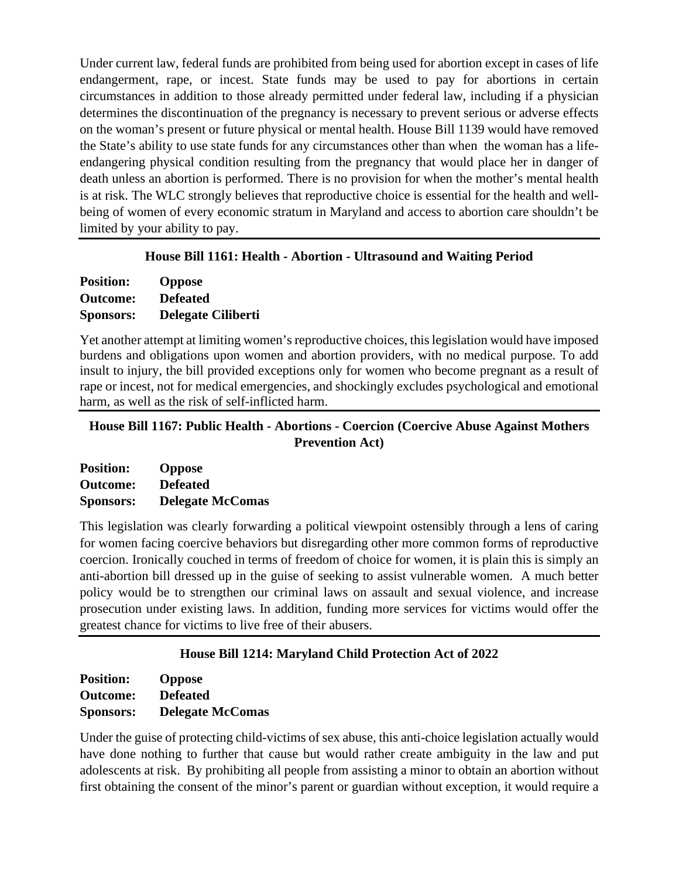Under current law, federal funds are prohibited from being used for abortion except in cases of life endangerment, rape, or incest. State funds may be used to pay for abortions in certain circumstances in addition to those already permitted under federal law, including if a physician determines the discontinuation of the pregnancy is necessary to prevent serious or adverse effects on the woman's present or future physical or mental health. House Bill 1139 would have removed the State's ability to use state funds for any circumstances other than when the woman has a lifeendangering physical condition resulting from the pregnancy that would place her in danger of death unless an abortion is performed. There is no provision for when the mother's mental health is at risk. The WLC strongly believes that reproductive choice is essential for the health and wellbeing of women of every economic stratum in Maryland and access to abortion care shouldn't be limited by your ability to pay.

### **House Bill 1161: Health - Abortion - Ultrasound and Waiting Period**

| <b>Position:</b> | <b>Oppose</b>             |
|------------------|---------------------------|
| <b>Outcome:</b>  | <b>Defeated</b>           |
| <b>Sponsors:</b> | <b>Delegate Ciliberti</b> |

Yet another attempt at limiting women's reproductive choices, this legislation would have imposed burdens and obligations upon women and abortion providers, with no medical purpose. To add insult to injury, the bill provided exceptions only for women who become pregnant as a result of rape or incest, not for medical emergencies, and shockingly excludes psychological and emotional harm, as well as the risk of self-inflicted harm.

### **House Bill 1167: Public Health - Abortions - Coercion (Coercive Abuse Against Mothers Prevention Act)**

| <b>Position:</b> | <b>Oppose</b>           |
|------------------|-------------------------|
| <b>Outcome:</b>  | <b>Defeated</b>         |
| <b>Sponsors:</b> | <b>Delegate McComas</b> |

This legislation was clearly forwarding a political viewpoint ostensibly through a lens of caring for women facing coercive behaviors but disregarding other more common forms of reproductive coercion. Ironically couched in terms of freedom of choice for women, it is plain this is simply an anti-abortion bill dressed up in the guise of seeking to assist vulnerable women. A much better policy would be to strengthen our criminal laws on assault and sexual violence, and increase prosecution under existing laws. In addition, funding more services for victims would offer the greatest chance for victims to live free of their abusers.

# **House Bill 1214: Maryland Child Protection Act of 2022**

| <b>Position:</b> | <b>Oppose</b>           |
|------------------|-------------------------|
| <b>Outcome:</b>  | <b>Defeated</b>         |
| <b>Sponsors:</b> | <b>Delegate McComas</b> |

Under the guise of protecting child-victims of sex abuse, this anti-choice legislation actually would have done nothing to further that cause but would rather create ambiguity in the law and put adolescents at risk. By prohibiting all people from assisting a minor to obtain an abortion without first obtaining the consent of the minor's parent or guardian without exception, it would require a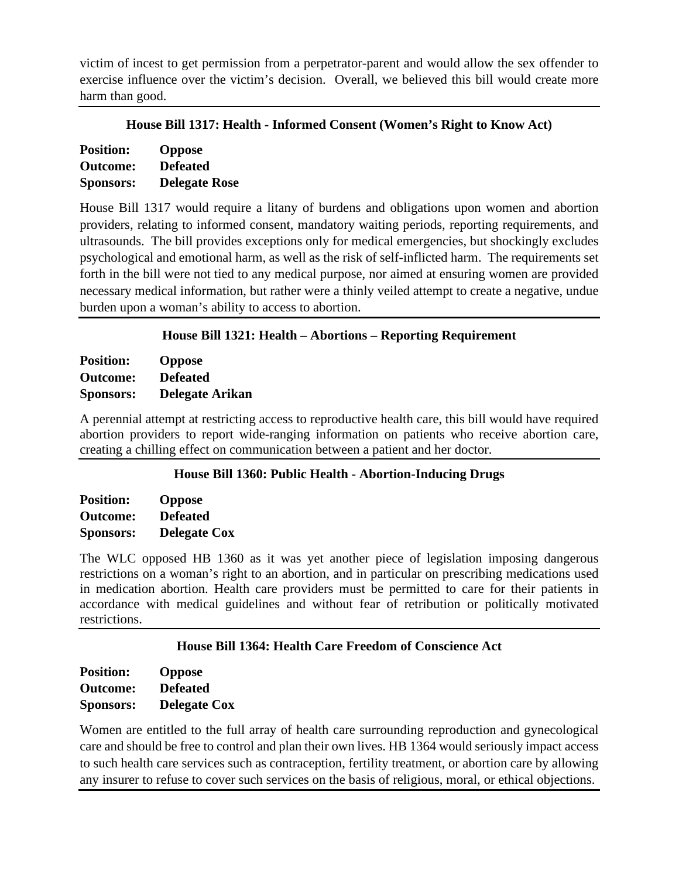victim of incest to get permission from a perpetrator-parent and would allow the sex offender to exercise influence over the victim's decision. Overall, we believed this bill would create more harm than good.

|  |  | House Bill 1317: Health - Informed Consent (Women's Right to Know Act) |
|--|--|------------------------------------------------------------------------|
|  |  |                                                                        |

| <b>Position:</b> | <b>Oppose</b>        |
|------------------|----------------------|
| <b>Outcome:</b>  | <b>Defeated</b>      |
| <b>Sponsors:</b> | <b>Delegate Rose</b> |

House Bill 1317 would require a litany of burdens and obligations upon women and abortion providers, relating to informed consent, mandatory waiting periods, reporting requirements, and ultrasounds. The bill provides exceptions only for medical emergencies, but shockingly excludes psychological and emotional harm, as well as the risk of self-inflicted harm. The requirements set forth in the bill were not tied to any medical purpose, nor aimed at ensuring women are provided necessary medical information, but rather were a thinly veiled attempt to create a negative, undue burden upon a woman's ability to access to abortion.

### **House Bill 1321: Health – Abortions – Reporting Requirement**

**Position: Oppose Outcome: Defeated Sponsors: Delegate Arikan**

A perennial attempt at restricting access to reproductive health care, this bill would have required abortion providers to report wide-ranging information on patients who receive abortion care, creating a chilling effect on communication between a patient and her doctor.

### **House Bill 1360: Public Health - Abortion-Inducing Drugs**

| <b>Position:</b> | <b>Oppose</b>       |
|------------------|---------------------|
| <b>Outcome:</b>  | <b>Defeated</b>     |
| <b>Sponsors:</b> | <b>Delegate Cox</b> |

The WLC opposed HB 1360 as it was yet another piece of legislation imposing dangerous restrictions on a woman's right to an abortion, and in particular on prescribing medications used in medication abortion. Health care providers must be permitted to care for their patients in accordance with medical guidelines and without fear of retribution or politically motivated restrictions.

### **House Bill 1364: Health Care Freedom of Conscience Act**

| <b>Position:</b> | <b>Oppose</b>       |
|------------------|---------------------|
| <b>Outcome:</b>  | <b>Defeated</b>     |
| <b>Sponsors:</b> | <b>Delegate Cox</b> |

Women are entitled to the full array of health care surrounding reproduction and gynecological care and should be free to control and plan their own lives. HB 1364 would seriously impact access to such health care services such as contraception, fertility treatment, or abortion care by allowing any insurer to refuse to cover such services on the basis of religious, moral, or ethical objections.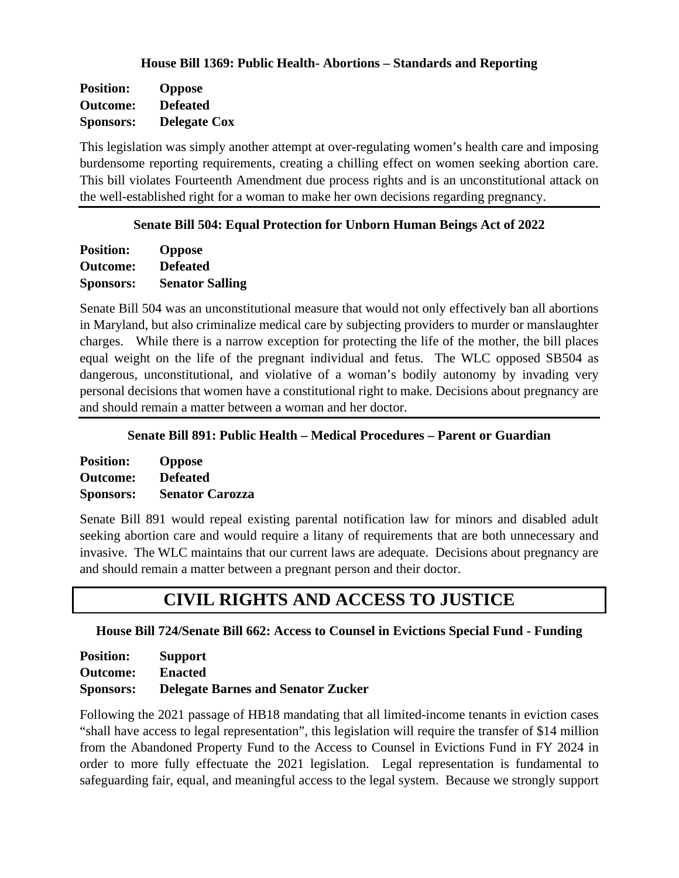#### **House Bill 1369: Public Health- Abortions – Standards and Reporting**

| <b>Position:</b> | <b>Oppose</b>       |
|------------------|---------------------|
| <b>Outcome:</b>  | <b>Defeated</b>     |
| <b>Sponsors:</b> | <b>Delegate Cox</b> |

This legislation was simply another attempt at over-regulating women's health care and imposing burdensome reporting requirements, creating a chilling effect on women seeking abortion care. This bill violates Fourteenth Amendment due process rights and is an unconstitutional attack on the well-established right for a woman to make her own decisions regarding pregnancy.

#### **Senate Bill 504: Equal Protection for Unborn Human Beings Act of 2022**

| <b>Position:</b> | <b>Oppose</b>          |
|------------------|------------------------|
| <b>Outcome:</b>  | <b>Defeated</b>        |
| <b>Sponsors:</b> | <b>Senator Salling</b> |

Senate Bill 504 was an unconstitutional measure that would not only effectively ban all abortions in Maryland, but also criminalize medical care by subjecting providers to murder or manslaughter charges. While there is a narrow exception for protecting the life of the mother, the bill places equal weight on the life of the pregnant individual and fetus. The WLC opposed SB504 as dangerous, unconstitutional, and violative of a woman's bodily autonomy by invading very personal decisions that women have a constitutional right to make. Decisions about pregnancy are and should remain a matter between a woman and her doctor.

#### **Senate Bill 891: Public Health – Medical Procedures – Parent or Guardian**

| <b>Position:</b> | <b>Oppose</b>          |
|------------------|------------------------|
| <b>Outcome:</b>  | <b>Defeated</b>        |
| <b>Sponsors:</b> | <b>Senator Carozza</b> |

Senate Bill 891 would repeal existing parental notification law for minors and disabled adult seeking abortion care and would require a litany of requirements that are both unnecessary and invasive. The WLC maintains that our current laws are adequate. Decisions about pregnancy are and should remain a matter between a pregnant person and their doctor.

# **CIVIL RIGHTS AND ACCESS TO JUSTICE**

#### **House Bill 724/Senate Bill 662: Access to Counsel in Evictions Special Fund - Funding**

| <b>Position:</b> | <b>Support</b>                            |
|------------------|-------------------------------------------|
| <b>Outcome:</b>  | <b>Enacted</b>                            |
| <b>Sponsors:</b> | <b>Delegate Barnes and Senator Zucker</b> |

Following the 2021 passage of HB18 mandating that all limited-income tenants in eviction cases "shall have access to legal representation", this legislation will require the transfer of \$14 million from the Abandoned Property Fund to the Access to Counsel in Evictions Fund in FY 2024 in order to more fully effectuate the 2021 legislation. Legal representation is fundamental to safeguarding fair, equal, and meaningful access to the legal system. Because we strongly support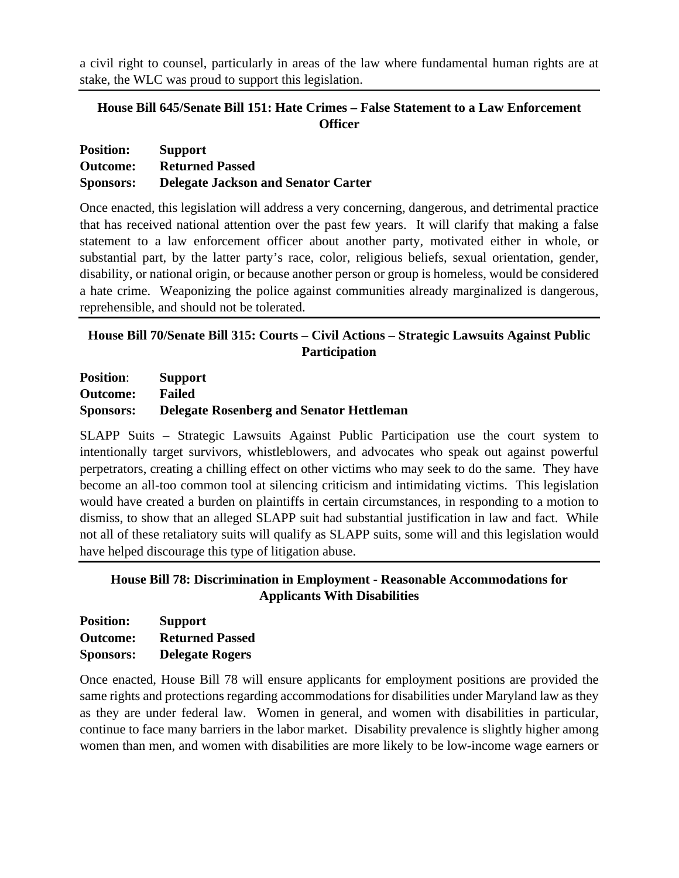a civil right to counsel, particularly in areas of the law where fundamental human rights are at stake, the WLC was proud to support this legislation.

### **House Bill 645/Senate Bill 151: Hate Crimes – False Statement to a Law Enforcement Officer**

| <b>Position:</b> | <b>Support</b>                             |
|------------------|--------------------------------------------|
| Outcome:         | <b>Returned Passed</b>                     |
| <b>Sponsors:</b> | <b>Delegate Jackson and Senator Carter</b> |

Once enacted, this legislation will address a very concerning, dangerous, and detrimental practice that has received national attention over the past few years. It will clarify that making a false statement to a law enforcement officer about another party, motivated either in whole, or substantial part, by the latter party's race, color, religious beliefs, sexual orientation, gender, disability, or national origin, or because another person or group is homeless, would be considered a hate crime. Weaponizing the police against communities already marginalized is dangerous, reprehensible, and should not be tolerated.

### **House Bill 70/Senate Bill 315: Courts – Civil Actions – Strategic Lawsuits Against Public Participation**

**Position**: **Support Outcome: Failed Sponsors: Delegate Rosenberg and Senator Hettleman**

SLAPP Suits – Strategic Lawsuits Against Public Participation use the court system to intentionally target survivors, whistleblowers, and advocates who speak out against powerful perpetrators, creating a chilling effect on other victims who may seek to do the same. They have become an all-too common tool at silencing criticism and intimidating victims. This legislation would have created a burden on plaintiffs in certain circumstances, in responding to a motion to dismiss, to show that an alleged SLAPP suit had substantial justification in law and fact. While not all of these retaliatory suits will qualify as SLAPP suits, some will and this legislation would have helped discourage this type of litigation abuse.

### **House Bill 78: Discrimination in Employment - Reasonable Accommodations for Applicants With Disabilities**

| <b>Position:</b> | <b>Support</b>         |
|------------------|------------------------|
| <b>Outcome:</b>  | <b>Returned Passed</b> |
| <b>Sponsors:</b> | <b>Delegate Rogers</b> |

Once enacted, House Bill 78 will ensure applicants for employment positions are provided the same rights and protections regarding accommodations for disabilities under Maryland law as they as they are under federal law. Women in general, and women with disabilities in particular, continue to face many barriers in the labor market. Disability prevalence is slightly higher among women than men, and women with disabilities are more likely to be low-income wage earners or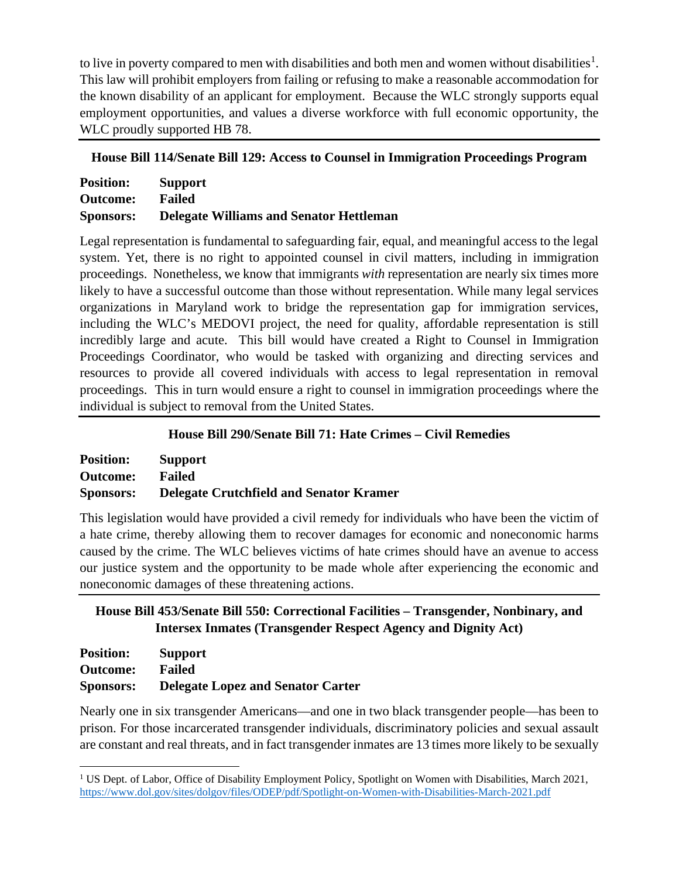to live in poverty compared to men with disabilities and both men and women without disabilities<sup>[1](#page-21-0)</sup>. This law will prohibit employers from failing or refusing to make a reasonable accommodation for the known disability of an applicant for employment. Because the WLC strongly supports equal employment opportunities, and values a diverse workforce with full economic opportunity, the WLC proudly supported HB 78.

### **House Bill 114/Senate Bill 129: Access to Counsel in Immigration Proceedings Program**

| <b>Position:</b> | <b>Support</b>                                 |
|------------------|------------------------------------------------|
| <b>Outcome:</b>  | <b>Failed</b>                                  |
| <b>Sponsors:</b> | <b>Delegate Williams and Senator Hettleman</b> |

Legal representation is fundamental to safeguarding fair, equal, and meaningful access to the legal system. Yet, there is no right to appointed counsel in civil matters, including in immigration proceedings. Nonetheless, we know that immigrants *with* representation are nearly six times more likely to have a successful outcome than those without representation. While many legal services organizations in Maryland work to bridge the representation gap for immigration services, including the WLC's MEDOVI project, the need for quality, affordable representation is still incredibly large and acute. This bill would have created a Right to Counsel in Immigration Proceedings Coordinator, who would be tasked with organizing and directing services and resources to provide all covered individuals with access to legal representation in removal proceedings. This in turn would ensure a right to counsel in immigration proceedings where the individual is subject to removal from the United States.

### **House Bill 290/Senate Bill 71: Hate Crimes – Civil Remedies**

| <b>Position:</b> | <b>Support</b>                                 |
|------------------|------------------------------------------------|
| <b>Outcome:</b>  | <b>Failed</b>                                  |
| <b>Sponsors:</b> | <b>Delegate Crutchfield and Senator Kramer</b> |

This legislation would have provided a civil remedy for individuals who have been the victim of a hate crime, thereby allowing them to recover damages for economic and noneconomic harms caused by the crime. The WLC believes victims of hate crimes should have an avenue to access our justice system and the opportunity to be made whole after experiencing the economic and noneconomic damages of these threatening actions.

# **House Bill 453/Senate Bill 550: Correctional Facilities – Transgender, Nonbinary, and Intersex Inmates (Transgender Respect Agency and Dignity Act)**

| <b>Position:</b> | <b>Support</b>                           |
|------------------|------------------------------------------|
| <b>Outcome:</b>  | <b>Failed</b>                            |
| <b>Sponsors:</b> | <b>Delegate Lopez and Senator Carter</b> |

Nearly one in six transgender Americans—and one in two black transgender people—has been to prison. For those incarcerated transgender individuals, discriminatory policies and sexual assault are constant and real threats, and in fact transgender inmates are 13 times more likely to be sexually

<span id="page-21-0"></span><sup>&</sup>lt;sup>1</sup> US Dept. of Labor, Office of Disability Employment Policy, Spotlight on Women with Disabilities, March 2021, <https://www.dol.gov/sites/dolgov/files/ODEP/pdf/Spotlight-on-Women-with-Disabilities-March-2021.pdf>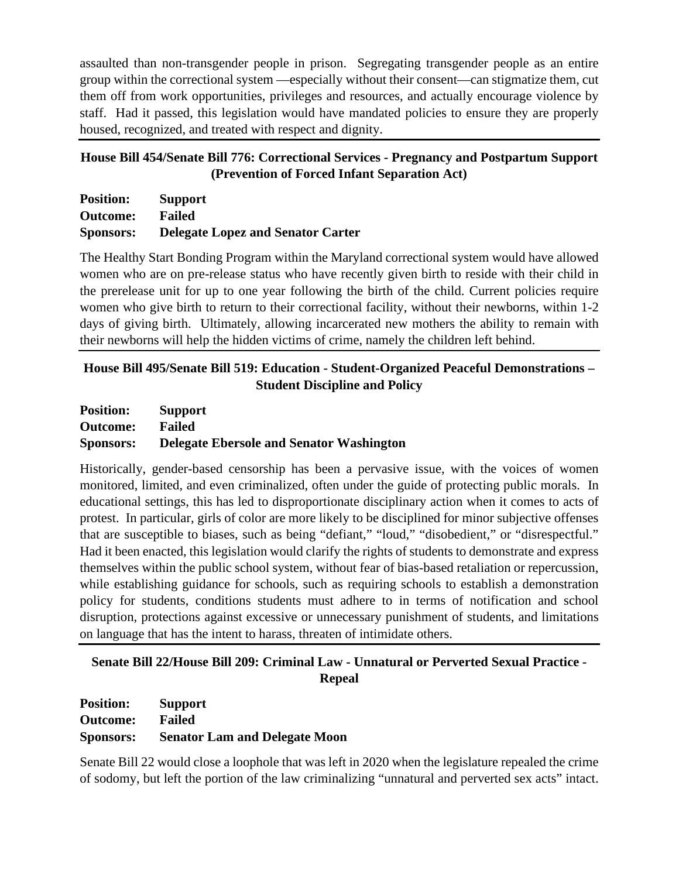assaulted than non-transgender people in prison. Segregating transgender people as an entire group within the correctional system —especially without their consent—can stigmatize them, cut them off from work opportunities, privileges and resources, and actually encourage violence by staff. Had it passed, this legislation would have mandated policies to ensure they are properly housed, recognized, and treated with respect and dignity.

# **House Bill 454/Senate Bill 776: Correctional Services - Pregnancy and Postpartum Support (Prevention of Forced Infant Separation Act)**

| <b>Position:</b> | <b>Support</b>                           |
|------------------|------------------------------------------|
| <b>Outcome:</b>  | <b>Failed</b>                            |
| <b>Sponsors:</b> | <b>Delegate Lopez and Senator Carter</b> |

The Healthy Start Bonding Program within the Maryland correctional system would have allowed women who are on pre-release status who have recently given birth to reside with their child in the prerelease unit for up to one year following the birth of the child. Current policies require women who give birth to return to their correctional facility, without their newborns, within 1-2 days of giving birth. Ultimately, allowing incarcerated new mothers the ability to remain with their newborns will help the hidden victims of crime, namely the children left behind.

# **House Bill 495/Senate Bill 519: Education - Student-Organized Peaceful Demonstrations – Student Discipline and Policy**

| <b>Position:</b> | <b>Support</b>                                  |
|------------------|-------------------------------------------------|
| <b>Outcome:</b>  | <b>Failed</b>                                   |
| <b>Sponsors:</b> | <b>Delegate Ebersole and Senator Washington</b> |

Historically, gender-based censorship has been a pervasive issue, with the voices of women monitored, limited, and even criminalized, often under the guide of protecting public morals. In educational settings, this has led to disproportionate disciplinary action when it comes to acts of protest. In particular, girls of color are more likely to be disciplined for minor subjective offenses that are susceptible to biases, such as being "defiant," "loud," "disobedient," or "disrespectful." Had it been enacted, this legislation would clarify the rights of students to demonstrate and express themselves within the public school system, without fear of bias-based retaliation or repercussion, while establishing guidance for schools, such as requiring schools to establish a demonstration policy for students, conditions students must adhere to in terms of notification and school disruption, protections against excessive or unnecessary punishment of students, and limitations on language that has the intent to harass, threaten of intimidate others.

# **Senate Bill 22/House Bill 209: Criminal Law - Unnatural or Perverted Sexual Practice - Repeal**

| <b>Position:</b> | <b>Support</b>                       |
|------------------|--------------------------------------|
| <b>Outcome:</b>  | <b>Failed</b>                        |
| <b>Sponsors:</b> | <b>Senator Lam and Delegate Moon</b> |

Senate Bill 22 would close a loophole that was left in 2020 when the legislature repealed the crime of sodomy, but left the portion of the law criminalizing "unnatural and perverted sex acts" intact.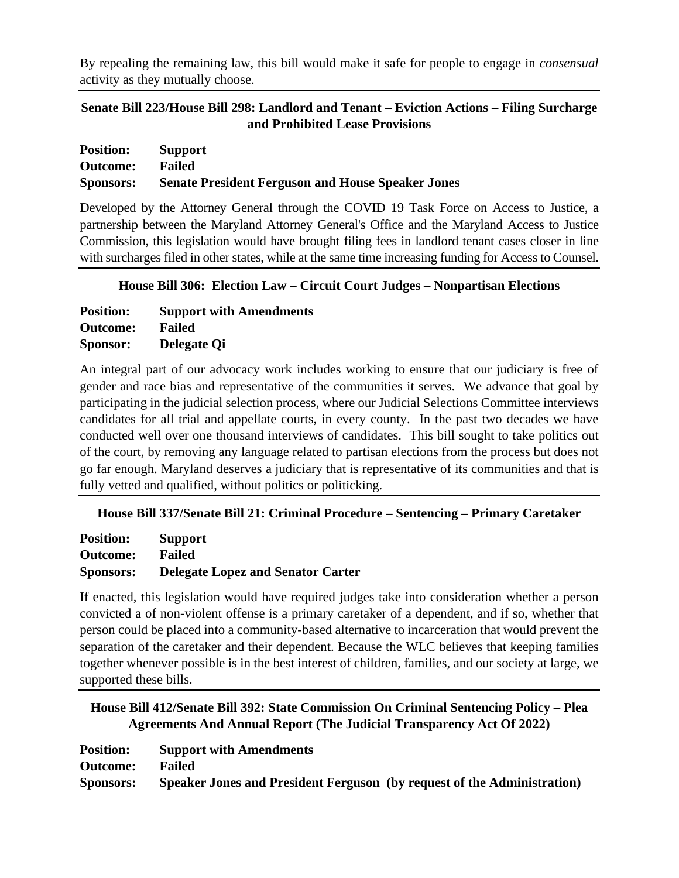By repealing the remaining law, this bill would make it safe for people to engage in *consensual* activity as they mutually choose.

**Senate Bill 223/House Bill 298: Landlord and Tenant – Eviction Actions – Filing Surcharge and Prohibited Lease Provisions**

| <b>Position:</b> | Support                                                  |
|------------------|----------------------------------------------------------|
| <b>Outcome:</b>  | Failed                                                   |
| <b>Sponsors:</b> | <b>Senate President Ferguson and House Speaker Jones</b> |

Developed by the Attorney General through the COVID 19 Task Force on Access to Justice, a partnership between the Maryland Attorney General's Office and the Maryland Access to Justice Commission, this legislation would have brought filing fees in landlord tenant cases closer in line with surcharges filed in other states, while at the same time increasing funding for Access to Counsel.

**House Bill 306: Election Law – Circuit Court Judges – Nonpartisan Elections**

| <b>Position:</b> | <b>Support with Amendments</b> |
|------------------|--------------------------------|
| Outcome:         | <b>Failed</b>                  |
| <b>Sponsor:</b>  | Delegate Qi                    |

An integral part of our advocacy work includes working to ensure that our judiciary is free of gender and race bias and representative of the communities it serves. We advance that goal by participating in the judicial selection process, where our Judicial Selections Committee interviews candidates for all trial and appellate courts, in every county. In the past two decades we have conducted well over one thousand interviews of candidates. This bill sought to take politics out of the court, by removing any language related to partisan elections from the process but does not go far enough. Maryland deserves a judiciary that is representative of its communities and that is fully vetted and qualified, without politics or politicking.

**House Bill 337/Senate Bill 21: Criminal Procedure – Sentencing – Primary Caretaker**

| <b>Position:</b> | <b>Support</b>                           |
|------------------|------------------------------------------|
| <b>Outcome:</b>  | <b>Failed</b>                            |
| <b>Sponsors:</b> | <b>Delegate Lopez and Senator Carter</b> |

If enacted, this legislation would have required judges take into consideration whether a person convicted a of non-violent offense is a primary caretaker of a dependent, and if so, whether that person could be placed into a community-based alternative to incarceration that would prevent the separation of the caretaker and their dependent. Because the WLC believes that keeping families together whenever possible is in the best interest of children, families, and our society at large, we supported these bills.

**House Bill 412/Senate Bill 392: State Commission On Criminal Sentencing Policy – Plea Agreements And Annual Report (The Judicial Transparency Act Of 2022)**

| <b>Position:</b> | <b>Support with Amendments</b>                                          |
|------------------|-------------------------------------------------------------------------|
| <b>Outcome:</b>  | Failed                                                                  |
| <b>Sponsors:</b> | Speaker Jones and President Ferguson (by request of the Administration) |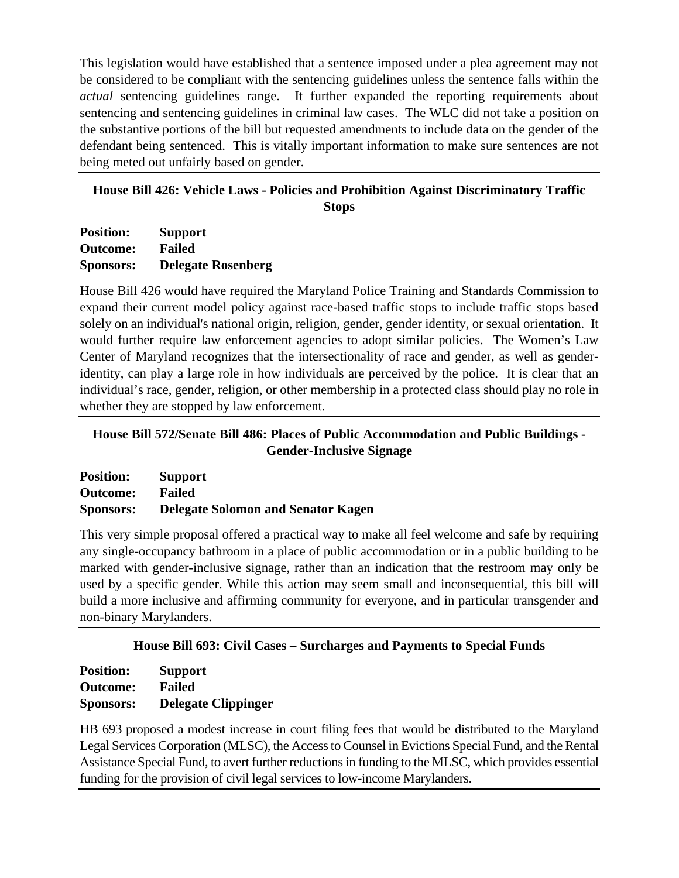This legislation would have established that a sentence imposed under a plea agreement may not be considered to be compliant with the sentencing guidelines unless the sentence falls within the *actual* sentencing guidelines range. It further expanded the reporting requirements about sentencing and sentencing guidelines in criminal law cases. The WLC did not take a position on the substantive portions of the bill but requested amendments to include data on the gender of the defendant being sentenced. This is vitally important information to make sure sentences are not being meted out unfairly based on gender.

# **House Bill 426: Vehicle Laws - Policies and Prohibition Against Discriminatory Traffic Stops**

**Position: Support Outcome: Failed Sponsors: Delegate Rosenberg**

House Bill 426 would have required the Maryland Police Training and Standards Commission to expand their current model policy against race-based traffic stops to include traffic stops based solely on an individual's national origin, religion, gender, gender identity, or sexual orientation. It would further require law enforcement agencies to adopt similar policies. The Women's Law Center of Maryland recognizes that the intersectionality of race and gender, as well as genderidentity, can play a large role in how individuals are perceived by the police. It is clear that an individual's race, gender, religion, or other membership in a protected class should play no role in whether they are stopped by law enforcement.

# **House Bill 572/Senate Bill 486: Places of Public Accommodation and Public Buildings - Gender-Inclusive Signage**

| <b>Position:</b> | <b>Support</b>                            |
|------------------|-------------------------------------------|
| <b>Outcome:</b>  | Failed                                    |
| <b>Sponsors:</b> | <b>Delegate Solomon and Senator Kagen</b> |

This very simple proposal offered a practical way to make all feel welcome and safe by requiring any single-occupancy bathroom in a place of public accommodation or in a public building to be marked with gender-inclusive signage, rather than an indication that the restroom may only be used by a specific gender. While this action may seem small and inconsequential, this bill will build a more inclusive and affirming community for everyone, and in particular transgender and non-binary Marylanders.

# **House Bill 693: Civil Cases – Surcharges and Payments to Special Funds**

**Position: Support Outcome: Failed Sponsors: Delegate Clippinger** 

HB 693 proposed a modest increase in court filing fees that would be distributed to the Maryland Legal Services Corporation (MLSC), the Access to Counsel in Evictions Special Fund, and the Rental Assistance Special Fund, to avert further reductions in funding to the MLSC, which provides essential funding for the provision of civil legal services to low-income Marylanders.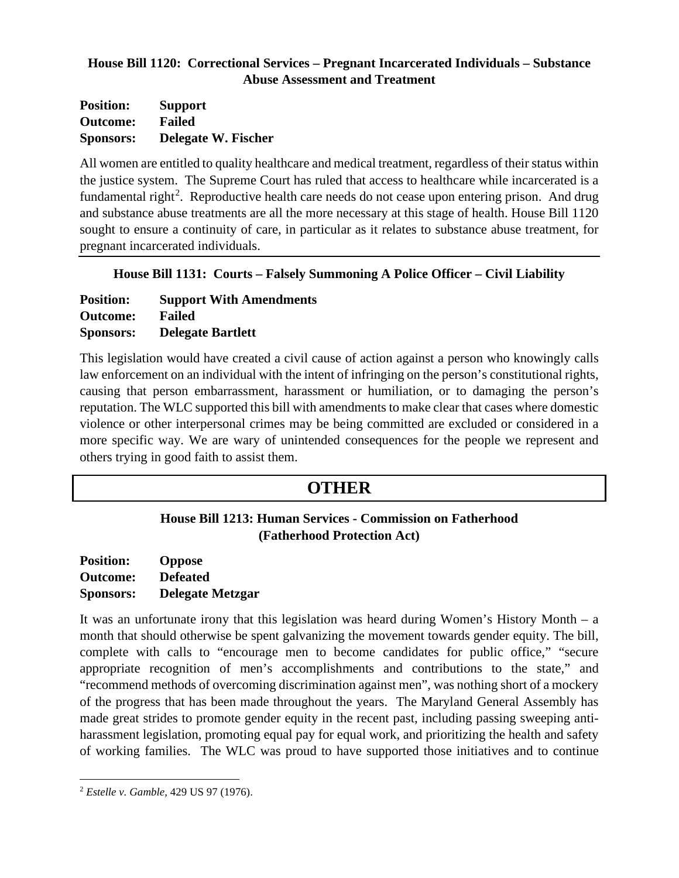### **House Bill 1120: Correctional Services – Pregnant Incarcerated Individuals – Substance Abuse Assessment and Treatment**

| <b>Position:</b> | <b>Support</b>             |
|------------------|----------------------------|
| <b>Outcome:</b>  | Failed                     |
| <b>Sponsors:</b> | <b>Delegate W. Fischer</b> |

All women are entitled to quality healthcare and medical treatment, regardless of their status within the justice system. The Supreme Court has ruled that access to healthcare while incarcerated is a fundamental right<sup>[2](#page-25-0)</sup>. Reproductive health care needs do not cease upon entering prison. And drug and substance abuse treatments are all the more necessary at this stage of health. House Bill 1120 sought to ensure a continuity of care, in particular as it relates to substance abuse treatment, for pregnant incarcerated individuals.

**House Bill 1131: Courts – Falsely Summoning A Police Officer – Civil Liability**

| <b>Position:</b> | <b>Support With Amendments</b> |
|------------------|--------------------------------|
| <b>Outcome:</b>  | <b>Failed</b>                  |
| <b>Sponsors:</b> | <b>Delegate Bartlett</b>       |

This legislation would have created a civil cause of action against a person who knowingly calls law enforcement on an individual with the intent of infringing on the person's constitutional rights, causing that person embarrassment, harassment or humiliation, or to damaging the person's reputation. The WLC supported this bill with amendments to make clear that cases where domestic violence or other interpersonal crimes may be being committed are excluded or considered in a more specific way. We are wary of unintended consequences for the people we represent and others trying in good faith to assist them.

# **OTHER**

# **House Bill 1213: Human Services - Commission on Fatherhood (Fatherhood Protection Act)**

**Position: Oppose Outcome: Defeated Sponsors: Delegate Metzgar** 

It was an unfortunate irony that this legislation was heard during Women's History Month – a month that should otherwise be spent galvanizing the movement towards gender equity. The bill, complete with calls to "encourage men to become candidates for public office," "secure appropriate recognition of men's accomplishments and contributions to the state," and "recommend methods of overcoming discrimination against men", was nothing short of a mockery of the progress that has been made throughout the years. The Maryland General Assembly has made great strides to promote gender equity in the recent past, including passing sweeping antiharassment legislation, promoting equal pay for equal work, and prioritizing the health and safety of working families. The WLC was proud to have supported those initiatives and to continue

<span id="page-25-0"></span><sup>2</sup> *Estelle v. Gamble*, 429 US 97 (1976).